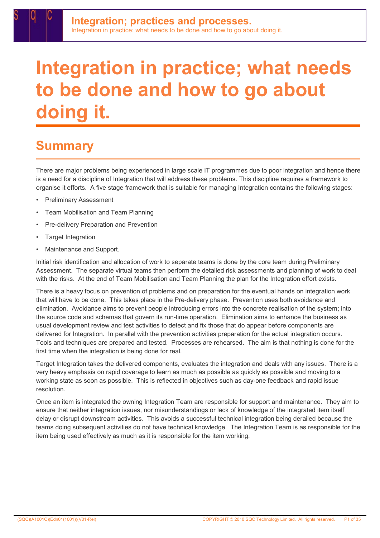## **Summary**

There are major problems being experienced in large scale IT programmes due to poor integration and hence there is a need for a discipline of Integration that will address these problems. This discipline requires a framework to organise it efforts. A five stage framework that is suitable for managing Integration contains the following stages:

- Preliminary Assessment
- Team Mobilisation and Team Planning
- Pre-delivery Preparation and Prevention
- Target Integration
- Maintenance and Support.

Initial risk identification and allocation of work to separate teams is done by the core team during Preliminary Assessment. The separate virtual teams then perform the detailed risk assessments and planning of work to deal with the risks. At the end of Team Mobilisation and Team Planning the plan for the Integration effort exists.

There is a heavy focus on prevention of problems and on preparation for the eventual hands on integration work that will have to be done. This takes place in the Pre-delivery phase. Prevention uses both avoidance and elimination. Avoidance aims to prevent people introducing errors into the concrete realisation of the system; into the source code and schemas that govern its run-time operation. Elimination aims to enhance the business as usual development review and test activities to detect and fix those that do appear before components are delivered for Integration. In parallel with the prevention activities preparation for the actual integration occurs. Tools and techniques are prepared and tested. Processes are rehearsed. The aim is that nothing is done for the first time when the integration is being done for real.

Target Integration takes the delivered components, evaluates the integration and deals with any issues. There is a very heavy emphasis on rapid coverage to learn as much as possible as quickly as possible and moving to a working state as soon as possible. This is reflected in objectives such as day-one feedback and rapid issue resolution.

Once an item is integrated the owning Integration Team are responsible for support and maintenance. They aim to ensure that neither integration issues, nor misunderstandings or lack of knowledge of the integrated item itself delay or disrupt downstream activities. This avoids a successful technical integration being derailed because the teams doing subsequent activities do not have technical knowledge. The Integration Team is as responsible for the item being used effectively as much as it is responsible for the item working.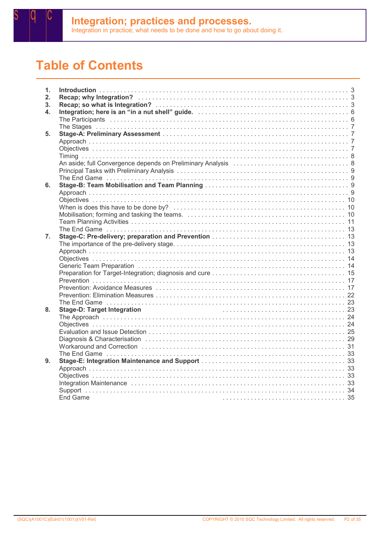

## Table of Contents

| 1.             |          |
|----------------|----------|
| 2.             |          |
| 3 <sub>1</sub> |          |
| 4.             |          |
|                |          |
|                |          |
| 5.             |          |
|                |          |
|                |          |
|                |          |
|                |          |
|                |          |
|                |          |
|                |          |
| 6.             |          |
|                |          |
|                |          |
|                |          |
|                |          |
|                |          |
|                |          |
| 7.             |          |
|                |          |
|                |          |
|                |          |
|                |          |
|                |          |
|                |          |
|                |          |
|                |          |
|                |          |
| 8.             |          |
|                |          |
|                |          |
|                |          |
|                |          |
|                |          |
|                |          |
| 9.             |          |
|                |          |
|                |          |
|                |          |
|                |          |
|                | End Game |
|                |          |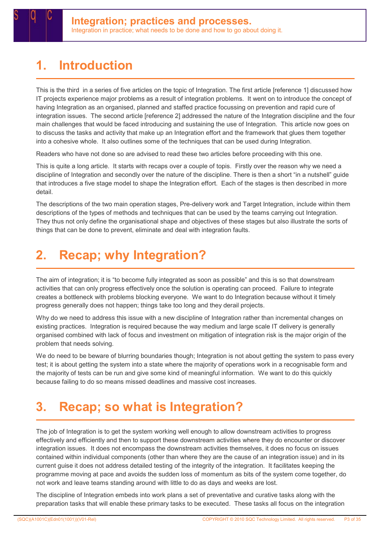## 1. Introduction

This is the third in a series of five articles on the topic of Integration. The first article [reference 1] discussed how IT projects experience major problems as a result of integration problems. It went on to introduce the concept of having Integration as an organised, planned and staffed practice focussing on prevention and rapid cure of integration issues. The second article [reference 2] addressed the nature of the Integration discipline and the four main challenges that would be faced introducing and sustaining the use of Integration. This article now goes on to discuss the tasks and activity that make up an Integration effort and the framework that glues them together into a cohesive whole. It also outlines some of the techniques that can be used during Integration.

Readers who have not done so are advised to read these two articles before proceeding with this one.

This is quite a long article. It starts with recaps over a couple of topis. Firstly over the reason why we need a discipline of Integration and secondly over the nature of the discipline. There is then a short "in a nutshell" guide that introduces a five stage model to shape the Integration effort. Each of the stages is then described in more detail.

The descriptions of the two main operation stages, Pre-delivery work and Target Integration, include within them descriptions of the types of methods and techniques that can be used by the teams carrying out Integration. They thus not only define the organisational shape and objectives of these stages but also illustrate the sorts of things that can be done to prevent, eliminate and deal with integration faults.

## 2. Recap; why Integration?

The aim of integration; it is "to become fully integrated as soon as possible" and this is so that downstream activities that can only progress effectively once the solution is operating can proceed. Failure to integrate creates a bottleneck with problems blocking everyone. We want to do Integration because without it timely progress generally does not happen; things take too long and they derail projects.

Why do we need to address this issue with a new discipline of Integration rather than incremental changes on existing practices. Integration is required because the way medium and large scale IT delivery is generally organised combined with lack of focus and investment on mitigation of integration risk is the major origin of the problem that needs solving.

We do need to be beware of blurring boundaries though; Integration is not about getting the system to pass every test; it is about getting the system into a state where the majority of operations work in a recognisable form and the majority of tests can be run and give some kind of meaningful information. We want to do this quickly because failing to do so means missed deadlines and massive cost increases.

## 3. Recap; so what is Integration?

The job of Integration is to get the system working well enough to allow downstream activities to progress effectively and efficiently and then to support these downstream activities where they do encounter or discover integration issues. It does not encompass the downstream activities themselves, it does no focus on issues contained within individual components (other than where they are the cause of an integration issue) and in its current guise it does not address detailed testing of the integrity of the integration. It facilitates keeping the programme moving at pace and avoids the sudden loss of momentum as bits of the system come together, do not work and leave teams standing around with little to do as days and weeks are lost.

The discipline of Integration embeds into work plans a set of preventative and curative tasks along with the preparation tasks that will enable these primary tasks to be executed. These tasks all focus on the integration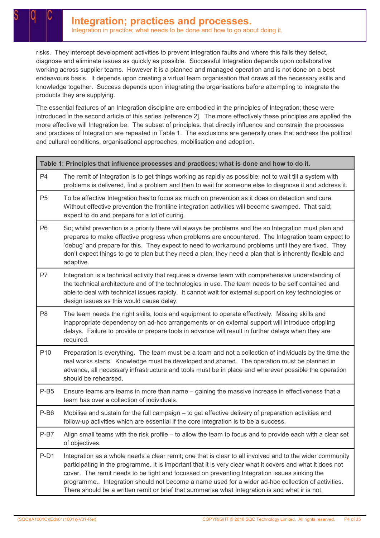risks. They intercept development activities to prevent integration faults and where this fails they detect, diagnose and eliminate issues as quickly as possible. Successful Integration depends upon collaborative working across supplier teams. However it is a planned and managed operation and is not done on a best endeavours basis. It depends upon creating a virtual team organisation that draws all the necessary skills and knowledge together. Success depends upon integrating the organisations before attempting to integrate the products they are supplying.

The essential features of an Integration discipline are embodied in the principles of Integration; these were introduced in the second article of this series [reference 2]. The more effectively these principles are applied the more effective will Integration be. The subset of principles. that directly influence and constrain the processes and practices of Integration are repeated in Table 1. The exclusions are generally ones that address the political and cultural conditions, organisational approaches, mobilisation and adoption.

| Table 1: Principles that influence processes and practices; what is done and how to do it. |                                                                                                                                                                                                                                                                                                                                                                                                                                                                                                                              |  |
|--------------------------------------------------------------------------------------------|------------------------------------------------------------------------------------------------------------------------------------------------------------------------------------------------------------------------------------------------------------------------------------------------------------------------------------------------------------------------------------------------------------------------------------------------------------------------------------------------------------------------------|--|
| P4                                                                                         | The remit of Integration is to get things working as rapidly as possible; not to wait till a system with<br>problems is delivered, find a problem and then to wait for someone else to diagnose it and address it.                                                                                                                                                                                                                                                                                                           |  |
| P <sub>5</sub>                                                                             | To be effective Integration has to focus as much on prevention as it does on detection and cure.<br>Without effective prevention the frontline integration activities will become swamped. That said;<br>expect to do and prepare for a lot of curing.                                                                                                                                                                                                                                                                       |  |
| P <sub>6</sub>                                                                             | So; whilst prevention is a priority there will always be problems and the so Integration must plan and<br>prepares to make effective progress when problems are encountered. The Integration team expect to<br>'debug' and prepare for this. They expect to need to workaround problems until they are fixed. They<br>don't expect things to go to plan but they need a plan; they need a plan that is inherently flexible and<br>adaptive.                                                                                  |  |
| P7                                                                                         | Integration is a technical activity that requires a diverse team with comprehensive understanding of<br>the technical architecture and of the technologies in use. The team needs to be self contained and<br>able to deal with technical issues rapidly. It cannot wait for external support on key technologies or<br>design issues as this would cause delay.                                                                                                                                                             |  |
| P <sub>8</sub>                                                                             | The team needs the right skills, tools and equipment to operate effectively. Missing skills and<br>inappropriate dependency on ad-hoc arrangements or on external support will introduce crippling<br>delays. Failure to provide or prepare tools in advance will result in further delays when they are<br>required.                                                                                                                                                                                                        |  |
| P <sub>10</sub>                                                                            | Preparation is everything. The team must be a team and not a collection of individuals by the time the<br>real works starts. Knowledge must be developed and shared. The operation must be planned in<br>advance, all necessary infrastructure and tools must be in place and wherever possible the operation<br>should be rehearsed.                                                                                                                                                                                        |  |
| $P-B5$                                                                                     | Ensure teams are teams in more than name - gaining the massive increase in effectiveness that a<br>team has over a collection of individuals.                                                                                                                                                                                                                                                                                                                                                                                |  |
| P-B6                                                                                       | Mobilise and sustain for the full campaign - to get effective delivery of preparation activities and<br>follow-up activities which are essential if the core integration is to be a success.                                                                                                                                                                                                                                                                                                                                 |  |
| $P-B7$                                                                                     | Align small teams with the risk profile – to allow the team to focus and to provide each with a clear set<br>of objectives.                                                                                                                                                                                                                                                                                                                                                                                                  |  |
| $P-D1$                                                                                     | Integration as a whole needs a clear remit; one that is clear to all involved and to the wider community<br>participating in the programme. It is important that it is very clear what it covers and what it does not<br>cover. The remit needs to be tight and focussed on preventing Integration issues sinking the<br>programme Integration should not become a name used for a wider ad-hoc collection of activities.<br>There should be a written remit or brief that summarise what Integration is and what ir is not. |  |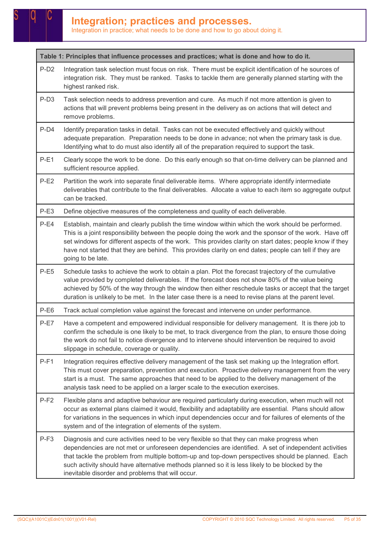Table 1: Principles that influence processes and practices; what is done and how to do it.

- P-D2 Integration task selection must focus on risk. There must be explicit identification of he sources of integration risk. They must be ranked. Tasks to tackle them are generally planned starting with the highest ranked risk.
- P-D3 Task selection needs to address prevention and cure. As much if not more attention is given to actions that will prevent problems being present in the delivery as on actions that will detect and remove problems.
- P-D4 Identify preparation tasks in detail. Tasks can not be executed effectively and quickly without adequate preparation. Preparation needs to be done in advance; not when the primary task is due. Identifying what to do must also identify all of the preparation required to support the task.
- P-E1 Clearly scope the work to be done. Do this early enough so that on-time delivery can be planned and sufficient resource applied.
- P-E2 Partition the work into separate final deliverable items. Where appropriate identify intermediate deliverables that contribute to the final deliverables. Allocate a value to each item so aggregate output can be tracked.
- P-E3 Define objective measures of the completeness and quality of each deliverable.
- P-E4 Establish, maintain and clearly publish the time window within which the work should be performed. This is a joint responsibility between the people doing the work and the sponsor of the work. Have off set windows for different aspects of the work. This provides clarity on start dates; people know if they have not started that they are behind. This provides clarity on end dates; people can tell if they are going to be late.
- P-E5 Schedule tasks to achieve the work to obtain a plan. Plot the forecast trajectory of the cumulative value provided by completed deliverables. If the forecast does not show 80% of the value being achieved by 50% of the way through the window then either reschedule tasks or accept that the target duration is unlikely to be met. In the later case there is a need to revise plans at the parent level.
- P-E6 Track actual completion value against the forecast and intervene on under performance.
- P-E7 Have a competent and empowered individual responsible for delivery management. It is there job to confirm the schedule is one likely to be met, to track divergence from the plan, to ensure those doing the work do not fail to notice divergence and to intervene should intervention be required to avoid slippage in schedule, coverage or quality.
- P-F1 Integration requires effective delivery management of the task set making up the Integration effort. This must cover preparation, prevention and execution. Proactive delivery management from the very start is a must. The same approaches that need to be applied to the delivery management of the analysis task need to be applied on a larger scale to the execution exercises.
- P-F2 Flexible plans and adaptive behaviour are required particularly during execution, when much will not occur as external plans claimed it would, flexibility and adaptability are essential. Plans should allow for variations in the sequences in which input dependencies occur and for failures of elements of the system and of the integration of elements of the system.
- P-F3 Diagnosis and cure activities need to be very flexible so that they can make progress when dependencies are not met or unforeseen dependencies are identified. A set of independent activities that tackle the problem from multiple bottom-up and top-down perspectives should be planned. Each such activity should have alternative methods planned so it is less likely to be blocked by the inevitable disorder and problems that will occur.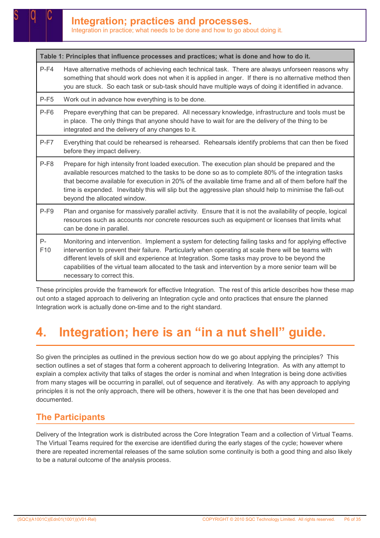Table 1: Principles that influence processes and practices; what is done and how to do it.

- P-F4 Have alternative methods of achieving each technical task. There are always unforseen reasons why something that should work does not when it is applied in anger. If there is no alternative method then you are stuck. So each task or sub-task should have multiple ways of doing it identified in advance.
- P-F5 Work out in advance how everything is to be done.
- P-F6 Prepare everything that can be prepared. All necessary knowledge, infrastructure and tools must be in place. The only things that anyone should have to wait for are the delivery of the thing to be integrated and the delivery of any changes to it.
- P-F7 Everything that could be rehearsed is rehearsed. Rehearsals identify problems that can then be fixed before they impact delivery.
- P-F8 Prepare for high intensity front loaded execution. The execution plan should be prepared and the available resources matched to the tasks to be done so as to complete 80% of the integration tasks that become available for execution in 20% of the available time frame and all of them before half the time is expended. Inevitably this will slip but the aggressive plan should help to minimise the fall-out beyond the allocated window.
- P-F9 Plan and organise for massively parallel activity. Ensure that it is not the availability of people, logical resources such as accounts nor concrete resources such as equipment or licenses that limits what can be done in parallel.

#### P- $F10$ Monitoring and intervention. Implement a system for detecting failing tasks and for applying effective intervention to prevent their failure. Particularly when operating at scale there will be teams with different levels of skill and experience at Integration. Some tasks may prove to be beyond the capabilities of the virtual team allocated to the task and intervention by a more senior team will be necessary to correct this.

These principles provide the framework for effective Integration. The rest of this article describes how these map out onto a staged approach to delivering an Integration cycle and onto practices that ensure the planned Integration work is actually done on-time and to the right standard.

## 4. Integration; here is an "in a nut shell" guide.

So given the principles as outlined in the previous section how do we go about applying the principles? This section outlines a set of stages that form a coherent approach to delivering Integration. As with any attempt to explain a complex activity that talks of stages the order is nominal and when Integration is being done activities from many stages will be occurring in parallel, out of sequence and iteratively. As with any approach to applying principles it is not the only approach, there will be others, however it is the one that has been developed and documented.

### The Participants

Delivery of the Integration work is distributed across the Core Integration Team and a collection of Virtual Teams. The Virtual Teams required for the exercise are identified during the early stages of the cycle; however where there are repeated incremental releases of the same solution some continuity is both a good thing and also likely to be a natural outcome of the analysis process.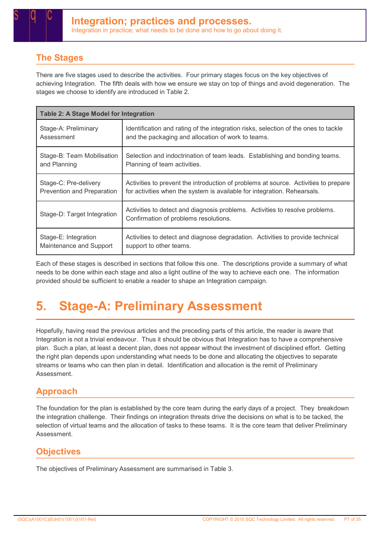### The Stages

There are five stages used to describe the activities. Four primary stages focus on the key objectives of achieving Integration. The fifth deals with how we ensure we stay on top of things and avoid degeneration. The stages we choose to identify are introduced in Table 2.

| <b>Table 2: A Stage Model for Integration</b> |                                                                                                                       |  |  |
|-----------------------------------------------|-----------------------------------------------------------------------------------------------------------------------|--|--|
| Stage-A: Preliminary                          | Identification and rating of the integration risks, selection of the ones to tackle                                   |  |  |
| Assessment                                    | and the packaging and allocation of work to teams.                                                                    |  |  |
| Stage-B: Team Mobilisation                    | Selection and indoctrination of team leads. Establishing and bonding teams.                                           |  |  |
| and Planning                                  | Planning of team activities.                                                                                          |  |  |
| Stage-C: Pre-delivery                         | Activities to prevent the introduction of problems at source. Activities to prepare                                   |  |  |
| Prevention and Preparation                    | for activities when the system is available for integration. Rehearsals.                                              |  |  |
| Stage-D: Target Integration                   | Activities to detect and diagnosis problems. Activities to resolve problems.<br>Confirmation of problems resolutions. |  |  |
| Stage-E: Integration                          | Activities to detect and diagnose degradation. Activities to provide technical                                        |  |  |
| Maintenance and Support                       | support to other teams.                                                                                               |  |  |

Each of these stages is described in sections that follow this one. The descriptions provide a summary of what needs to be done within each stage and also a light outline of the way to achieve each one. The information provided should be sufficient to enable a reader to shape an Integration campaign.

## 5. Stage-A: Preliminary Assessment

Hopefully, having read the previous articles and the preceding parts of this article, the reader is aware that Integration is not a trivial endeavour. Thus it should be obvious that Integration has to have a comprehensive plan. Such a plan, at least a decent plan, does not appear without the investment of disciplined effort. Getting the right plan depends upon understanding what needs to be done and allocating the objectives to separate streams or teams who can then plan in detail. Identification and allocation is the remit of Preliminary Assessment.

### Approach

The foundation for the plan is established by the core team during the early days of a project. They breakdown the integration challenge. Their findings on integration threats drive the decisions on what is to be tacked, the selection of virtual teams and the allocation of tasks to these teams. It is the core team that deliver Preliminary Assessment.

### **Objectives**

The objectives of Preliminary Assessment are summarised in Table 3.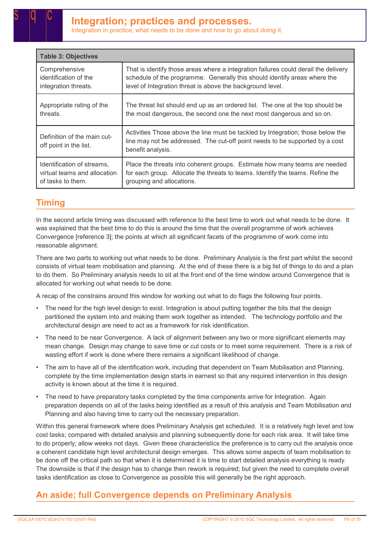| <b>Table 3: Objectives</b>                            |                                                                                                                                                                                      |  |
|-------------------------------------------------------|--------------------------------------------------------------------------------------------------------------------------------------------------------------------------------------|--|
| Comprehensive                                         | That is identify those areas where a integration failures could derail the delivery                                                                                                  |  |
| identification of the                                 | schedule of the programme. Generally this should identify areas where the                                                                                                            |  |
| integration threats.                                  | level of Integration threat is above the background level.                                                                                                                           |  |
| Appropriate rating of the                             | The threat list should end up as an ordered list. The one at the top should be                                                                                                       |  |
| threats.                                              | the most dangerous, the second one the next most dangerous and so on.                                                                                                                |  |
| Definition of the main cut-<br>off point in the list. | Activities Those above the line must be tackled by Integration; those below the<br>line may not be addressed. The cut-off point needs to be supported by a cost<br>benefit analysis. |  |
| Identification of streams,                            | Place the threats into coherent groups. Estimate how many teams are needed                                                                                                           |  |
| virtual teams and allocation                          | for each group. Allocate the threats to teams. Identify the teams. Refine the                                                                                                        |  |
| of tasks to them.                                     | grouping and allocations.                                                                                                                                                            |  |

### **Timing**

In the second article timing was discussed with reference to the best time to work out what needs to be done. It was explained that the best time to do this is around the time that the overall programme of work achieves Convergence [reference 3]; the points at which all significant facets of the programme of work come into reasonable alignment.

There are two parts to working out what needs to be done. Preliminary Analysis is the first part whilst the second consists of virtual team mobilisation and planning. At the end of these there is a big list of things to do and a plan to do them. So Preliminary analysis needs to sit at the front end of the time window around Convergence that is allocated for working out what needs to be done.

A recap of the constrains around this window for working out what to do flags the following four points.

- The need for the high level design to exist. Integration is about putting together the bits that the design partitioned the system into and making them work together as intended. The technology portfolio and the architectural design are need to act as a framework for risk identification.
- The need to be near Convergence. A lack of alignment between any two or more significant elements may mean change. Design may change to save time or cut costs or to meet some requirement. There is a risk of wasting effort if work is done where there remains a significant likelihood of change.
- The aim to have all of the identification work, including that dependent on Team Mobilisation and Planning, complete by the time implementation design starts in earnest so that any required intervention in this design activity is known about at the time it is required.
- The need to have preparatory tasks completed by the time components arrive for Integration. Again preparation depends on all of the tasks being identified as a result of this analysis and Team Mobilisation and Planning and also having time to carry out the necessary preparation.

Within this general framework where does Preliminary Analysis get scheduled. It is a relatively high level and low cost tasks; compared with detailed analysis and planning subsequently done for each risk area. It will take time to do properly; allow weeks not days. Given these characteristics the preference is to carry out the analysis once a coherent candidate high level architectural design emerges. This allows some aspects of team mobilisation to be done off the critical path so that when it is determined it is time to start detailed analysis everything is ready. The downside is that if the design has to change then rework is required; but given the need to complete overall tasks identification as close to Convergence as possible this will generally be the right approach.

### An aside; full Convergence depends on Preliminary Analysis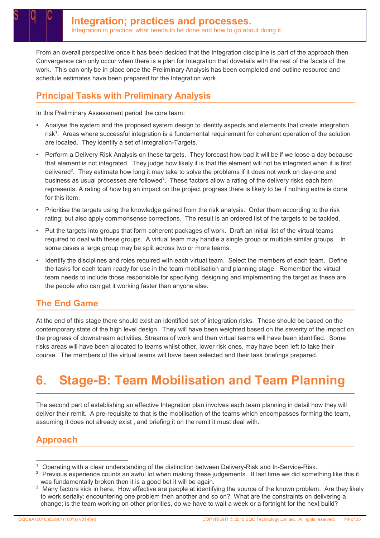From an overall perspective once it has been decided that the Integration discipline is part of the approach then Convergence can only occur when there is a plan for Integration that dovetails with the rest of the facets of the work. This can only be in place once the Preliminary Analysis has been completed and outline resource and schedule estimates have been prepared for the Integration work.

### Principal Tasks with Preliminary Analysis

In this Preliminary Assessment period the core team:

- Analyse the system and the proposed system design to identify aspects and elements that create integration risk<sup>1</sup>. Areas where successful integration is a fundamental requirement for coherent operation of the solution are located. They identify a set of Integration-Targets.
- Perform a Delivery Risk Analysis on these targets. They forecast how bad it will be if we loose a day because that element is not integrated. They judge how likely it is that the element will not be integrated when it is first delivered<sup>2</sup>. They estimate how long it may take to solve the problems if it does not work on day-one and business as usual processes are followed<sup>3</sup>. These factors allow a rating of the delivery risks each item represents. A rating of how big an impact on the project progress there is likely to be if nothing extra is done for this item.
- Prioritise the targets using the knowledge gained from the risk analysis. Order them according to the risk rating; but also apply commonsense corrections. The result is an ordered list of the targets to be tackled.
- Put the targets into groups that form coherent packages of work. Draft an initial list of the virtual teams required to deal with these groups. A virtual team may handle a single group or multiple similar groups. In some cases a large group may be split across two or more teams.
- Identify the disciplines and roles required with each virtual team. Select the members of each team. Define the tasks for each team ready for use in the team mobilisation and planning stage. Remember the virtual team needs to include those responsible for specifying, designing and implementing the target as these are the people who can get it working faster than anyone else.

### The End Game

At the end of this stage there should exist an identified set of integration risks. These should be based on the contemporary state of the high level design. They will have been weighted based on the severity of the impact on the progress of downstream activities, Streams of work and then virtual teams will have been identified. Some risks areas will have been allocated to teams whilst other, lower risk ones, may have been left to take their course. The members of the virtual teams will have been selected and their task briefings prepared.

## 6. Stage-B: Team Mobilisation and Team Planning

The second part of establishing an effective Integration plan involves each team planning in detail how they will deliver their remit. A pre-requisite to that is the mobilisation of the teams which encompasses forming the team, assuming it does not already exist , and briefing it on the remit it must deal with.

### Approach

<sup>1</sup> Operating with a clear understanding of the distinction between Delivery-Risk and In-Service-Risk.

 $^2$  Previous experience counts an awful lot when making these judgements. If last time we did something like this it was fundamentally broken then it is a good bet it will be again.

 $3$  Many factors kick in here. How effective are people at identifying the source of the known problem. Are they likely to work serially; encountering one problem then another and so on? What are the constraints on delivering a change; is the team working on other priorities, do we have to wait a week or a fortnight for the next build?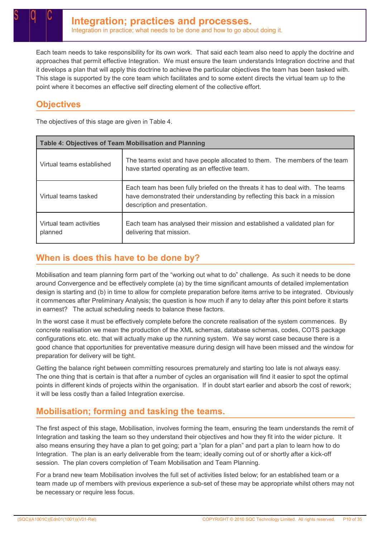Each team needs to take responsibility for its own work. That said each team also need to apply the doctrine and approaches that permit effective Integration. We must ensure the team understands Integration doctrine and that it develops a plan that will apply this doctrine to achieve the particular objectives the team has been tasked with. This stage is supported by the core team which facilitates and to some extent directs the virtual team up to the point where it becomes an effective self directing element of the collective effort.

### **Objectives**

The objectives of this stage are given in Table 4.

| <b>Table 4: Objectives of Team Mobilisation and Planning</b> |                                                                                                                                                                                               |  |  |
|--------------------------------------------------------------|-----------------------------------------------------------------------------------------------------------------------------------------------------------------------------------------------|--|--|
| Virtual teams established                                    | The teams exist and have people allocated to them. The members of the team<br>have started operating as an effective team.                                                                    |  |  |
| Virtual teams tasked                                         | Each team has been fully briefed on the threats it has to deal with. The teams<br>have demonstrated their understanding by reflecting this back in a mission<br>description and presentation. |  |  |
| Virtual team activities<br>planned                           | Each team has analysed their mission and established a validated plan for<br>delivering that mission.                                                                                         |  |  |

### When is does this have to be done by?

Mobilisation and team planning form part of the "working out what to do" challenge. As such it needs to be done around Convergence and be effectively complete (a) by the time significant amounts of detailed implementation design is starting and (b) in time to allow for complete preparation before items arrive to be integrated. Obviously it commences after Preliminary Analysis; the question is how much if any to delay after this point before it starts in earnest? The actual scheduling needs to balance these factors.

In the worst case it must be effectively complete before the concrete realisation of the system commences. By concrete realisation we mean the production of the XML schemas, database schemas, codes, COTS package configurations etc. etc. that will actually make up the running system. We say worst case because there is a good chance that opportunities for preventative measure during design will have been missed and the window for preparation for delivery will be tight.

Getting the balance right between committing resources prematurely and starting too late is not always easy. The one thing that is certain is that after a number of cycles an organisation will find it easier to spot the optimal points in different kinds of projects within the organisation. If in doubt start earlier and absorb the cost of rework; it will be less costly than a failed Integration exercise.

### Mobilisation; forming and tasking the teams.

The first aspect of this stage, Mobilisation, involves forming the team, ensuring the team understands the remit of Integration and tasking the team so they understand their objectives and how they fit into the wider picture. It also means ensuring they have a plan to get going; part a "plan for a plan" and part a plan to learn how to do Integration. The plan is an early deliverable from the team; ideally coming out of or shortly after a kick-off session. The plan covers completion of Team Mobilisation and Team Planning.

For a brand new team Mobilisation involves the full set of activities listed below; for an established team or a team made up of members with previous experience a sub-set of these may be appropriate whilst others may not be necessary or require less focus.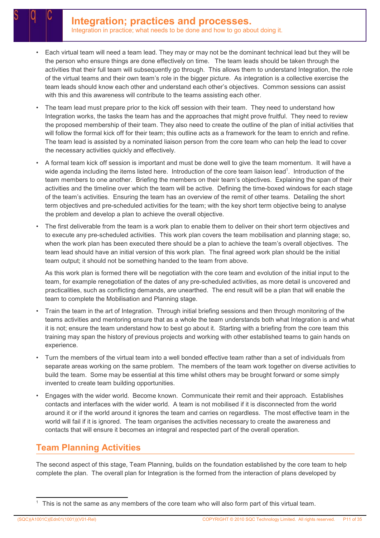- Each virtual team will need a team lead. They may or may not be the dominant technical lead but they will be the person who ensure things are done effectively on time. The team leads should be taken through the activities that their full team will subsequently go through. This allows them to understand Integration, the role of the virtual teams and their own team's role in the bigger picture. As integration is a collective exercise the team leads should know each other and understand each other's objectives. Common sessions can assist with this and this awareness will contribute to the teams assisting each other.
- The team lead must prepare prior to the kick off session with their team. They need to understand how Integration works, the tasks the team has and the approaches that might prove fruitful. They need to review the proposed membership of their team. They also need to create the outline of the plan of initial activities that will follow the formal kick off for their team; this outline acts as a framework for the team to enrich and refine. The team lead is assisted by a nominated liaison person from the core team who can help the lead to cover the necessary activities quickly and effectively.
- A formal team kick off session is important and must be done well to give the team momentum. It will have a wide agenda including the items listed here. Introduction of the core team liaison lead<sup>1</sup>. Introduction of the team members to one another. Briefing the members on their team's objectives. Explaining the span of their activities and the timeline over which the team will be active. Defining the time-boxed windows for each stage of the team's activities. Ensuring the team has an overview of the remit of other teams. Detailing the short term objectives and pre-scheduled activities for the team; with the key short term objective being to analyse the problem and develop a plan to achieve the overall objective.
- The first deliverable from the team is a work plan to enable them to deliver on their short term objectives and to execute any pre-scheduled activities. This work plan covers the team mobilisation and planning stage; so, when the work plan has been executed there should be a plan to achieve the team's overall objectives. The team lead should have an initial version of this work plan. The final agreed work plan should be the initial team output; it should not be something handed to the team from above.

As this work plan is formed there will be negotiation with the core team and evolution of the initial input to the team, for example renegotiation of the dates of any pre-scheduled activities, as more detail is uncovered and practicalities, such as conflicting demands, are unearthed. The end result will be a plan that will enable the team to complete the Mobilisation and Planning stage.

- Train the team in the art of Integration. Through initial briefing sessions and then through monitoring of the teams activities and mentoring ensure that as a whole the team understands both what Integration is and what it is not; ensure the team understand how to best go about it. Starting with a briefing from the core team this training may span the history of previous projects and working with other established teams to gain hands on experience.
- Turn the members of the virtual team into a well bonded effective team rather than a set of individuals from separate areas working on the same problem. The members of the team work together on diverse activities to build the team. Some may be essential at this time whilst others may be brought forward or some simply invented to create team building opportunities.
- Engages with the wider world. Become known. Communicate their remit and their approach. Establishes contacts and interfaces with the wider world. A team is not mobilised if it is disconnected from the world around it or if the world around it ignores the team and carries on regardless. The most effective team in the world will fail if it is ignored. The team organises the activities necessary to create the awareness and contacts that will ensure it becomes an integral and respected part of the overall operation.

### Team Planning Activities

The second aspect of this stage, Team Planning, builds on the foundation established by the core team to help complete the plan. The overall plan for Integration is the formed from the interaction of plans developed by

<sup>1</sup> This is not the same as any members of the core team who will also form part of this virtual team.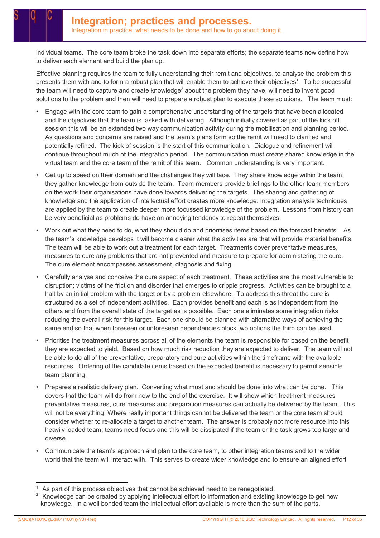individual teams. The core team broke the task down into separate efforts; the separate teams now define how to deliver each element and build the plan up.

Effective planning requires the team to fully understanding their remit and objectives, to analyse the problem this presents them with and to form a robust plan that will enable them to achieve their objectives<sup>1</sup>. To be successful the team will need to capture and create knowledge<sup>2</sup> about the problem they have, will need to invent good solutions to the problem and then will need to prepare a robust plan to execute these solutions. The team must:

- Engage with the core team to gain a comprehensive understanding of the targets that have been allocated and the objectives that the team is tasked with delivering. Although initially covered as part of the kick off session this will be an extended two way communication activity during the mobilisation and planning period. As questions and concerns are raised and the team's plans form so the remit will need to clarified and potentially refined. The kick of session is the start of this communication. Dialogue and refinement will continue throughout much of the Integration period. The communication must create shared knowledge in the virtual team and the core team of the remit of this team. Common understanding is very important.
- Get up to speed on their domain and the challenges they will face. They share knowledge within the team; they gather knowledge from outside the team. Team members provide briefings to the other team members on the work their organisations have done towards delivering the targets. The sharing and gathering of knowledge and the application of intellectual effort creates more knowledge. Integration analysis techniques are applied by the team to create deeper more focussed knowledge of the problem. Lessons from history can be very beneficial as problems do have an annoying tendency to repeat themselves.
- Work out what they need to do, what they should do and prioritises items based on the forecast benefits. As the team's knowledge develops it will become clearer what the activities are that will provide material benefits. The team will be able to work out a treatment for each target. Treatments cover preventative measures, measures to cure any problems that are not prevented and measure to prepare for administering the cure. The cure element encompasses assessment, diagnosis and fixing.
- Carefully analyse and conceive the cure aspect of each treatment. These activities are the most vulnerable to disruption; victims of the friction and disorder that emerges to cripple progress. Activities can be brought to a halt by an initial problem with the target or by a problem elsewhere. To address this threat the cure is structured as a set of independent activities. Each provides benefit and each is as independent from the others and from the overall state of the target as is possible. Each one eliminates some integration risks reducing the overall risk for this target. Each one should be planned with alternative ways of achieving the same end so that when foreseen or unforeseen dependencies block two options the third can be used.
- Prioritise the treatment measures across all of the elements the team is responsible for based on the benefit they are expected to yield. Based on how much risk reduction they are expected to deliver. The team will not be able to do all of the preventative, preparatory and cure activities within the timeframe with the available resources. Ordering of the candidate items based on the expected benefit is necessary to permit sensible team planning.
- Prepares a realistic delivery plan. Converting what must and should be done into what can be done. This covers that the team will do from now to the end of the exercise. It will show which treatment measures preventative measures, cure measures and preparation measures can actually be delivered by the team. This will not be everything. Where really important things cannot be delivered the team or the core team should consider whether to re-allocate a target to another team. The answer is probably not more resource into this heavily loaded team; teams need focus and this will be dissipated if the team or the task grows too large and diverse.
- Communicate the team's approach and plan to the core team, to other integration teams and to the wider world that the team will interact with. This serves to create wider knowledge and to ensure an aligned effort

<sup>1</sup> As part of this process objectives that cannot be achieved need to be renegotiated.

<sup>2</sup> Knowledge can be created by applying intellectual effort to information and existing knowledge to get new knowledge. In a well bonded team the intellectual effort available is more than the sum of the parts.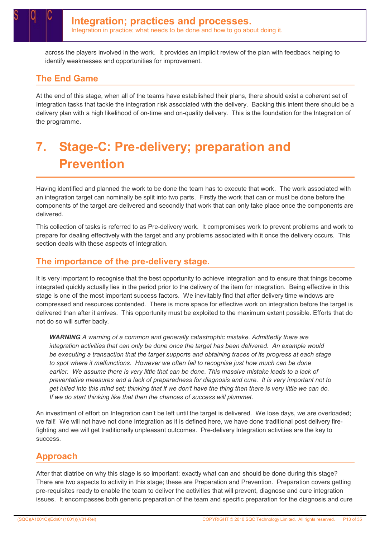across the players involved in the work. It provides an implicit review of the plan with feedback helping to identify weaknesses and opportunities for improvement.

### The End Game

At the end of this stage, when all of the teams have established their plans, there should exist a coherent set of Integration tasks that tackle the integration risk associated with the delivery. Backing this intent there should be a delivery plan with a high likelihood of on-time and on-quality delivery. This is the foundation for the Integration of the programme.

## 7. Stage-C: Pre-delivery; preparation and Prevention

Having identified and planned the work to be done the team has to execute that work. The work associated with an integration target can nominally be split into two parts. Firstly the work that can or must be done before the components of the target are delivered and secondly that work that can only take place once the components are delivered.

This collection of tasks is referred to as Pre-delivery work. It compromises work to prevent problems and work to prepare for dealing effectively with the target and any problems associated with it once the delivery occurs. This section deals with these aspects of Integration.

### The importance of the pre-delivery stage.

It is very important to recognise that the best opportunity to achieve integration and to ensure that things become integrated quickly actually lies in the period prior to the delivery of the item for integration. Being effective in this stage is one of the most important success factors. We inevitably find that after delivery time windows are compressed and resources contended. There is more space for effective work on integration before the target is delivered than after it arrives. This opportunity must be exploited to the maximum extent possible. Efforts that do not do so will suffer badly.

WARNING A warning of a common and generally catastrophic mistake. Admittedly there are integration activities that can only be done once the target has been delivered. An example would be executing a transaction that the target supports and obtaining traces of its progress at each stage to spot where it malfunctions. However we often fail to recognise just how much can be done earlier. We assume there is very little that can be done. This massive mistake leads to a lack of preventative measures and a lack of preparedness for diagnosis and cure. It is very important not to get lulled into this mind set; thinking that if we don't have the thing then there is very little we can do. If we do start thinking like that then the chances of success will plummet.

An investment of effort on Integration can't be left until the target is delivered. We lose days, we are overloaded; we fail! We will not have not done Integration as it is defined here, we have done traditional post delivery firefighting and we will get traditionally unpleasant outcomes. Pre-delivery Integration activities are the key to success.

### Approach

After that diatribe on why this stage is so important; exactly what can and should be done during this stage? There are two aspects to activity in this stage; these are Preparation and Prevention. Preparation covers getting pre-requisites ready to enable the team to deliver the activities that will prevent, diagnose and cure integration issues. It encompasses both generic preparation of the team and specific preparation for the diagnosis and cure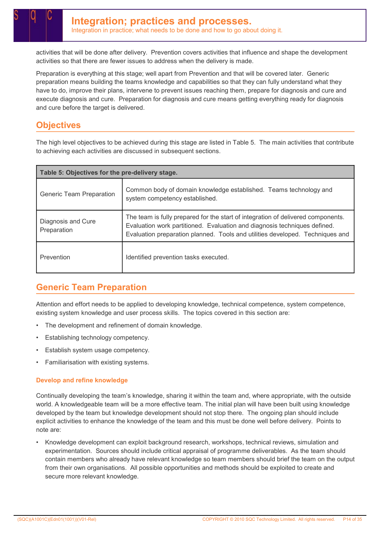activities that will be done after delivery. Prevention covers activities that influence and shape the development activities so that there are fewer issues to address when the delivery is made.

Preparation is everything at this stage; well apart from Prevention and that will be covered later. Generic preparation means building the teams knowledge and capabilities so that they can fully understand what they have to do, improve their plans, intervene to prevent issues reaching them, prepare for diagnosis and cure and execute diagnosis and cure. Preparation for diagnosis and cure means getting everything ready for diagnosis and cure before the target is delivered.

### **Objectives**

The high level objectives to be achieved during this stage are listed in Table 5. The main activities that contribute to achieving each activities are discussed in subsequent sections.

| Table 5: Objectives for the pre-delivery stage. |                                                                                                                                                                                                                                                |  |  |
|-------------------------------------------------|------------------------------------------------------------------------------------------------------------------------------------------------------------------------------------------------------------------------------------------------|--|--|
| <b>Generic Team Preparation</b>                 | Common body of domain knowledge established. Teams technology and<br>system competency established.                                                                                                                                            |  |  |
| Diagnosis and Cure<br>Preparation               | The team is fully prepared for the start of integration of delivered components.<br>Evaluation work partitioned. Evaluation and diagnosis techniques defined.<br>Evaluation preparation planned. Tools and utilities developed. Techniques and |  |  |
| Prevention                                      | Identified prevention tasks executed.                                                                                                                                                                                                          |  |  |

### Generic Team Preparation

Attention and effort needs to be applied to developing knowledge, technical competence, system competence, existing system knowledge and user process skills. The topics covered in this section are:

- The development and refinement of domain knowledge.
- Establishing technology competency.
- Establish system usage competency.
- Familiarisation with existing systems.

#### Develop and refine knowledge

Continually developing the team's knowledge, sharing it within the team and, where appropriate, with the outside world. A knowledgeable team will be a more effective team. The initial plan will have been built using knowledge developed by the team but knowledge development should not stop there. The ongoing plan should include explicit activities to enhance the knowledge of the team and this must be done well before delivery. Points to note are:

• Knowledge development can exploit background research, workshops, technical reviews, simulation and experimentation. Sources should include critical appraisal of programme deliverables. As the team should contain members who already have relevant knowledge so team members should brief the team on the output from their own organisations. All possible opportunities and methods should be exploited to create and secure more relevant knowledge.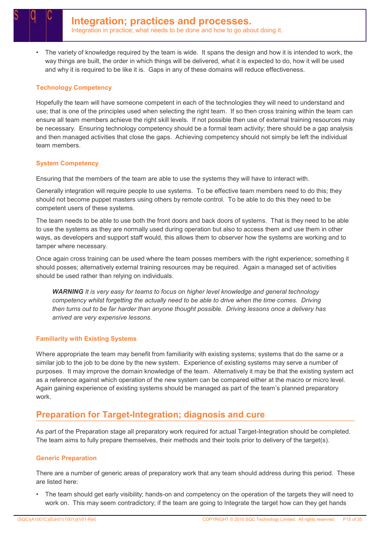• The variety of knowledge required by the team is wide. It spans the design and how it is intended to work, the way things are built, the order in which things will be delivered, what it is expected to do, how it will be used and why it is required to be like it is. Gaps in any of these domains will reduce effectiveness.

#### Technology Competency

Hopefully the team will have someone competent in each of the technologies they will need to understand and use; that is one of the principles used when selecting the right team. If so then cross training within the team can ensure all team members achieve the right skill levels. If not possible then use of external training resources may be necessary. Ensuring technology competency should be a formal team activity; there should be a gap analysis and then managed activities that close the gaps. Achieving competency should not simply be left the individual team members.

#### System Competency

Ensuring that the members of the team are able to use the systems they will have to interact with.

Generally integration will require people to use systems. To be effective team members need to do this; they should not become puppet masters using others by remote control. To be able to do this they need to be competent users of these systems.

The team needs to be able to use both the front doors and back doors of systems. That is they need to be able to use the systems as they are normally used during operation but also to access them and use them in other ways, as developers and support staff would, this allows them to observer how the systems are working and to tamper where necessary.

Once again cross training can be used where the team posses members with the right experience; something it should posses; alternatively external training resources may be required. Again a managed set of activities should be used rather than relying on individuals.

WARNING It is very easy for teams to focus on higher level knowledge and general technology competency whilst forgetting the actually need to be able to drive when the time comes. Driving then turns out to be far harder than anyone thought possible. Driving lessons once a delivery has arrived are very expensive lessons.

#### Familiarity with Existing Systems

Where appropriate the team may benefit from familiarity with existing systems; systems that do the same or a similar job to the job to be done by the new system. Experience of existing systems may serve a number of purposes. It may improve the domain knowledge of the team. Alternatively it may be that the existing system act as a reference against which operation of the new system can be compared either at the macro or micro level. Again gaining experience of existing systems should be managed as part of the team's planned preparatory work.

### Preparation for Target-Integration; diagnosis and cure

As part of the Preparation stage all preparatory work required for actual Target-Integration should be completed. The team aims to fully prepare themselves, their methods and their tools prior to delivery of the target(s).

#### Generic Preparation

There are a number of generic areas of preparatory work that any team should address during this period. These are listed here:

• The team should get early visibility; hands-on and competency on the operation of the targets they will need to work on. This may seem contradictory; if the team are going to Integrate the target how can they get hands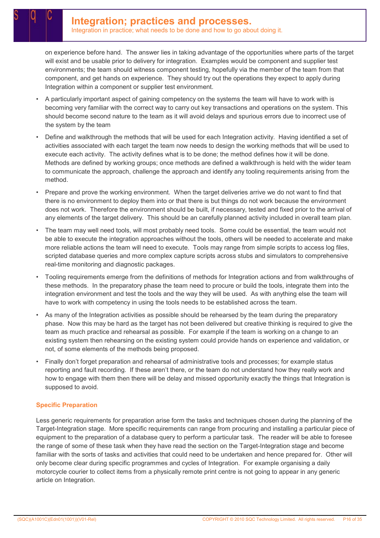on experience before hand. The answer lies in taking advantage of the opportunities where parts of the target will exist and be usable prior to delivery for integration. Examples would be component and supplier test environments; the team should witness component testing, hopefully via the member of the team from that component, and get hands on experience. They should try out the operations they expect to apply during Integration within a component or supplier test environment.

- A particularly important aspect of gaining competency on the systems the team will have to work with is becoming very familiar with the correct way to carry out key transactions and operations on the system. This should become second nature to the team as it will avoid delays and spurious errors due to incorrect use of the system by the team
- Define and walkthrough the methods that will be used for each Integration activity. Having identified a set of activities associated with each target the team now needs to design the working methods that will be used to execute each activity. The activity defines what is to be done; the method defines how it will be done. Methods are defined by working groups; once methods are defined a walkthrough is held with the wider team to communicate the approach, challenge the approach and identify any tooling requirements arising from the method.
- Prepare and prove the working environment. When the target deliveries arrive we do not want to find that there is no environment to deploy them into or that there is but things do not work because the environment does not work. Therefore the environment should be built, if necessary, tested and fixed prior to the arrival of any elements of the target delivery. This should be an carefully planned activity included in overall team plan.
- The team may well need tools, will most probably need tools. Some could be essential, the team would not be able to execute the integration approaches without the tools, others will be needed to accelerate and make more reliable actions the team will need to execute. Tools may range from simple scripts to access log files, scripted database queries and more complex capture scripts across stubs and simulators to comprehensive real-time monitoring and diagnostic packages.
- Tooling requirements emerge from the definitions of methods for Integration actions and from walkthroughs of these methods. In the preparatory phase the team need to procure or build the tools, integrate them into the integration environment and test the tools and the way they will be used. As with anything else the team will have to work with competency in using the tools needs to be established across the team.
- As many of the Integration activities as possible should be rehearsed by the team during the preparatory phase. Now this may be hard as the target has not been delivered but creative thinking is required to give the team as much practice and rehearsal as possible. For example if the team is working on a change to an existing system then rehearsing on the existing system could provide hands on experience and validation, or not, of some elements of the methods being proposed.
- Finally don't forget preparation and rehearsal of administrative tools and processes; for example status reporting and fault recording. If these aren't there, or the team do not understand how they really work and how to engage with them then there will be delay and missed opportunity exactly the things that Integration is supposed to avoid.

#### Specific Preparation

Less generic requirements for preparation arise form the tasks and techniques chosen during the planning of the Target-Integration stage. More specific requirements can range from procuring and installing a particular piece of equipment to the preparation of a database query to perform a particular task. The reader will be able to foresee the range of some of these task when they have read the section on the Target-Integration stage and become familiar with the sorts of tasks and activities that could need to be undertaken and hence prepared for. Other will only become clear during specific programmes and cycles of Integration. For example organising a daily motorcycle courier to collect items from a physically remote print centre is not going to appear in any generic article on Integration.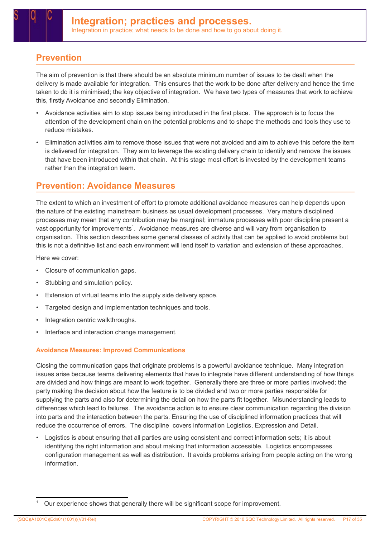### Prevention

The aim of prevention is that there should be an absolute minimum number of issues to be dealt when the delivery is made available for integration. This ensures that the work to be done after delivery and hence the time taken to do it is minimised; the key objective of integration. We have two types of measures that work to achieve this, firstly Avoidance and secondly Elimination.

- Avoidance activities aim to stop issues being introduced in the first place. The approach is to focus the attention of the development chain on the potential problems and to shape the methods and tools they use to reduce mistakes.
- Elimination activities aim to remove those issues that were not avoided and aim to achieve this before the item is delivered for integration. They aim to leverage the existing delivery chain to identify and remove the issues that have been introduced within that chain. At this stage most effort is invested by the development teams rather than the integration team.

### Prevention: Avoidance Measures

The extent to which an investment of effort to promote additional avoidance measures can help depends upon the nature of the existing mainstream business as usual development processes. Very mature disciplined processes may mean that any contribution may be marginal; immature processes with poor discipline present a vast opportunity for improvements<sup>1</sup>. Avoidance measures are diverse and will vary from organisation to organisation. This section describes some general classes of activity that can be applied to avoid problems but this is not a definitive list and each environment will lend itself to variation and extension of these approaches.

Here we cover:

- Closure of communication gaps.
- Stubbing and simulation policy.
- Extension of virtual teams into the supply side delivery space.
- Targeted design and implementation techniques and tools.
- Integration centric walkthroughs.
- Interface and interaction change management.

#### Avoidance Measures: Improved Communications

Closing the communication gaps that originate problems is a powerful avoidance technique. Many integration issues arise because teams delivering elements that have to integrate have different understanding of how things are divided and how things are meant to work together. Generally there are three or more parties involved; the party making the decision about how the feature is to be divided and two or more parties responsible for supplying the parts and also for determining the detail on how the parts fit together. Misunderstanding leads to differences which lead to failures. The avoidance action is to ensure clear communication regarding the division into parts and the interaction between the parts. Ensuring the use of disciplined information practices that will reduce the occurrence of errors. The discipline covers information Logistics, Expression and Detail.

• Logistics is about ensuring that all parties are using consistent and correct information sets; it is about identifying the right information and about making that information accessible. Logistics encompasses configuration management as well as distribution. It avoids problems arising from people acting on the wrong information.

<sup>1</sup> Our experience shows that generally there will be significant scope for improvement.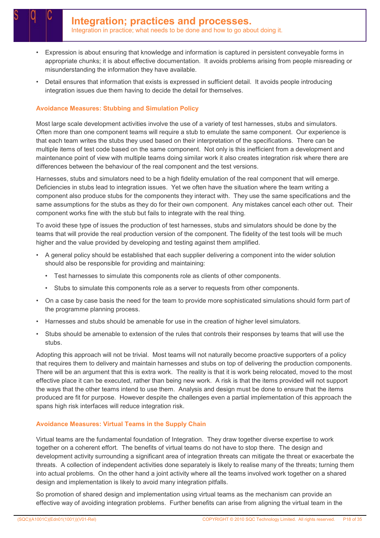- Expression is about ensuring that knowledge and information is captured in persistent conveyable forms in appropriate chunks; it is about effective documentation. It avoids problems arising from people misreading or misunderstanding the information they have available.
- Detail ensures that information that exists is expressed in sufficient detail. It avoids people introducing integration issues due them having to decide the detail for themselves.

#### Avoidance Measures: Stubbing and Simulation Policy

Most large scale development activities involve the use of a variety of test harnesses, stubs and simulators. Often more than one component teams will require a stub to emulate the same component. Our experience is that each team writes the stubs they used based on their interpretation of the specifications. There can be multiple items of test code based on the same component. Not only is this inefficient from a development and maintenance point of view with multiple teams doing similar work it also creates integration risk where there are differences between the behaviour of the real component and the test versions.

Harnesses, stubs and simulators need to be a high fidelity emulation of the real component that will emerge. Deficiencies in stubs lead to integration issues. Yet we often have the situation where the team writing a component also produce stubs for the components they interact with. They use the same specifications and the same assumptions for the stubs as they do for their own component. Any mistakes cancel each other out. Their component works fine with the stub but fails to integrate with the real thing.

To avoid these type of issues the production of test harnesses, stubs and simulators should be done by the teams that will provide the real production version of the component. The fidelity of the test tools will be much higher and the value provided by developing and testing against them amplified.

- A general policy should be established that each supplier delivering a component into the wider solution should also be responsible for providing and maintaining:
	- Test harnesses to simulate this components role as clients of other components.
	- Stubs to simulate this components role as a server to requests from other components.
- On a case by case basis the need for the team to provide more sophisticated simulations should form part of the programme planning process.
- Harnesses and stubs should be amenable for use in the creation of higher level simulators.
- Stubs should be amenable to extension of the rules that controls their responses by teams that will use the stubs.

Adopting this approach will not be trivial. Most teams will not naturally become proactive supporters of a policy that requires them to delivery and maintain harnesses and stubs on top of delivering the production components. There will be an argument that this is extra work. The reality is that it is work being relocated, moved to the most effective place it can be executed, rather than being new work. A risk is that the items provided will not support the ways that the other teams intend to use them. Analysis and design must be done to ensure that the items produced are fit for purpose. However despite the challenges even a partial implementation of this approach the spans high risk interfaces will reduce integration risk.

#### Avoidance Measures: Virtual Teams in the Supply Chain

Virtual teams are the fundamental foundation of Integration. They draw together diverse expertise to work together on a coherent effort. The benefits of virtual teams do not have to stop there. The design and development activity surrounding a significant area of integration threats can mitigate the threat or exacerbate the threats. A collection of independent activities done separately is likely to realise many of the threats; turning them into actual problems. On the other hand a joint activity where all the teams involved work together on a shared design and implementation is likely to avoid many integration pitfalls.

So promotion of shared design and implementation using virtual teams as the mechanism can provide an effective way of avoiding integration problems. Further benefits can arise from aligning the virtual team in the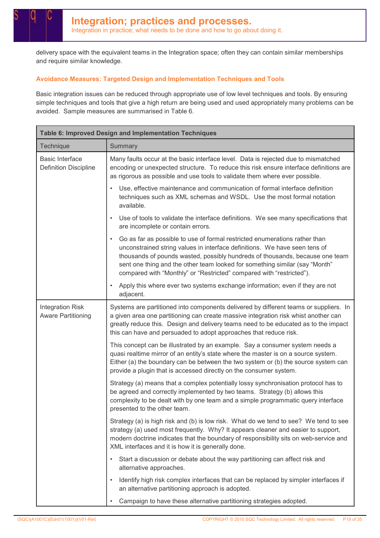delivery space with the equivalent teams in the Integration space; often they can contain similar memberships and require similar knowledge.

#### Avoidance Measures: Targeted Design and Implementation Techniques and Tools

Basic integration issues can be reduced through appropriate use of low level techniques and tools. By ensuring simple techniques and tools that give a high return are being used and used appropriately many problems can be avoided. Sample measures are summarised in Table 6.

| Table 6: Improved Design and Implementation Techniques |                                                                                                                                                                                                                                                                                                                                                                                                              |  |  |
|--------------------------------------------------------|--------------------------------------------------------------------------------------------------------------------------------------------------------------------------------------------------------------------------------------------------------------------------------------------------------------------------------------------------------------------------------------------------------------|--|--|
| Technique                                              | Summary                                                                                                                                                                                                                                                                                                                                                                                                      |  |  |
| <b>Basic Interface</b><br><b>Definition Discipline</b> | Many faults occur at the basic interface level. Data is rejected due to mismatched<br>encoding or unexpected structure. To reduce this risk ensure interface definitions are<br>as rigorous as possible and use tools to validate them where ever possible.                                                                                                                                                  |  |  |
|                                                        | Use, effective maintenance and communication of formal interface definition<br>$\bullet$<br>techniques such as XML schemas and WSDL. Use the most formal notation<br>available.                                                                                                                                                                                                                              |  |  |
|                                                        | Use of tools to validate the interface definitions. We see many specifications that<br>are incomplete or contain errors.                                                                                                                                                                                                                                                                                     |  |  |
|                                                        | Go as far as possible to use of formal restricted enumerations rather than<br>$\bullet$<br>unconstrained string values in interface definitions. We have seen tens of<br>thousands of pounds wasted, possibly hundreds of thousands, because one team<br>sent one thing and the other team looked for something similar (say "Month"<br>compared with "Monthly" or "Restricted" compared with "restricted"). |  |  |
|                                                        | Apply this where ever two systems exchange information; even if they are not<br>adjacent.                                                                                                                                                                                                                                                                                                                    |  |  |
| <b>Integration Risk</b><br><b>Aware Partitioning</b>   | Systems are partitioned into components delivered by different teams or suppliers. In<br>a given area one partitioning can create massive integration risk whist another can<br>greatly reduce this. Design and delivery teams need to be educated as to the impact<br>this can have and persuaded to adopt approaches that reduce risk.                                                                     |  |  |
|                                                        | This concept can be illustrated by an example. Say a consumer system needs a<br>quasi realtime mirror of an entity's state where the master is on a source system.<br>Either (a) the boundary can be between the two system or (b) the source system can<br>provide a plugin that is accessed directly on the consumer system.                                                                               |  |  |
|                                                        | Strategy (a) means that a complex potentially lossy synchronisation protocol has to<br>be agreed and correctly implemented by two teams. Strategy (b) allows this<br>complexity to be dealt with by one team and a simple programmatic query interface<br>presented to the other team.                                                                                                                       |  |  |
|                                                        | Strategy (a) is high risk and (b) is low risk. What do we tend to see? We tend to see<br>strategy (a) used most frequently. Why? It appears cleaner and easier to support,<br>modern doctrine indicates that the boundary of responsibility sits on web-service and<br>XML interfaces and it is how it is generally done.                                                                                    |  |  |
|                                                        | Start a discussion or debate about the way partitioning can affect risk and<br>alternative approaches.                                                                                                                                                                                                                                                                                                       |  |  |
|                                                        | Identify high risk complex interfaces that can be replaced by simpler interfaces if<br>an alternative partitioning approach is adopted.                                                                                                                                                                                                                                                                      |  |  |
|                                                        | Campaign to have these alternative partitioning strategies adopted.<br>$\bullet$                                                                                                                                                                                                                                                                                                                             |  |  |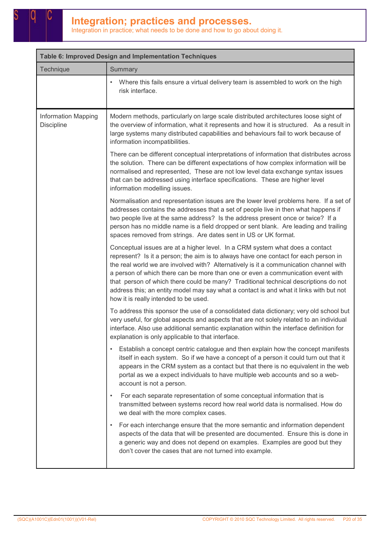| Table 6: Improved Design and Implementation Techniques |                                                                                                                                                                                                                                                                                                                                                                                                                                                                                                                                                                           |  |
|--------------------------------------------------------|---------------------------------------------------------------------------------------------------------------------------------------------------------------------------------------------------------------------------------------------------------------------------------------------------------------------------------------------------------------------------------------------------------------------------------------------------------------------------------------------------------------------------------------------------------------------------|--|
| Technique                                              | Summary                                                                                                                                                                                                                                                                                                                                                                                                                                                                                                                                                                   |  |
|                                                        | Where this fails ensure a virtual delivery team is assembled to work on the high<br>risk interface.                                                                                                                                                                                                                                                                                                                                                                                                                                                                       |  |
| <b>Information Mapping</b><br><b>Discipline</b>        | Modern methods, particularly on large scale distributed architectures loose sight of<br>the overview of information, what it represents and how it is structured. As a result in<br>large systems many distributed capabilities and behaviours fail to work because of<br>information incompatibilities.                                                                                                                                                                                                                                                                  |  |
|                                                        | There can be different conceptual interpretations of information that distributes across<br>the solution. There can be different expectations of how complex information will be<br>normalised and represented, These are not low level data exchange syntax issues<br>that can be addressed using interface specifications. These are higher level<br>information modelling issues.                                                                                                                                                                                      |  |
|                                                        | Normalisation and representation issues are the lower level problems here. If a set of<br>addresses contains the addresses that a set of people live in then what happens if<br>two people live at the same address? Is the address present once or twice? If a<br>person has no middle name is a field dropped or sent blank. Are leading and trailing<br>spaces removed from strings. Are dates sent in US or UK format.                                                                                                                                                |  |
|                                                        | Conceptual issues are at a higher level. In a CRM system what does a contact<br>represent? Is it a person; the aim is to always have one contact for each person in<br>the real world we are involved with? Alternatively is it a communication channel with<br>a person of which there can be more than one or even a communication event with<br>that person of which there could be many? Traditional technical descriptions do not<br>address this; an entity model may say what a contact is and what it links with but not<br>how it is really intended to be used. |  |
|                                                        | To address this sponsor the use of a consolidated data dictionary; very old school but<br>very useful, for global aspects and aspects that are not solely related to an individual<br>interface. Also use additional semantic explanation within the interface definition for<br>explanation is only applicable to that interface.                                                                                                                                                                                                                                        |  |
|                                                        | Establish a concept centric catalogue and then explain how the concept manifests<br>$\bullet$<br>itself in each system. So if we have a concept of a person it could turn out that it<br>appears in the CRM system as a contact but that there is no equivalent in the web<br>portal as we a expect individuals to have multiple web accounts and so a web-<br>account is not a person.                                                                                                                                                                                   |  |
|                                                        | For each separate representation of some conceptual information that is<br>$\bullet$<br>transmitted between systems record how real world data is normalised. How do<br>we deal with the more complex cases.                                                                                                                                                                                                                                                                                                                                                              |  |
|                                                        | For each interchange ensure that the more semantic and information dependent<br>aspects of the data that will be presented are documented. Ensure this is done in<br>a generic way and does not depend on examples. Examples are good but they<br>don't cover the cases that are not turned into example.                                                                                                                                                                                                                                                                 |  |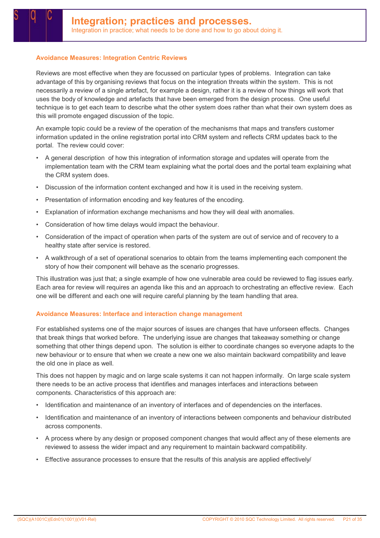#### Avoidance Measures: Integration Centric Reviews

Reviews are most effective when they are focussed on particular types of problems. Integration can take advantage of this by organising reviews that focus on the integration threats within the system. This is not necessarily a review of a single artefact, for example a design, rather it is a review of how things will work that uses the body of knowledge and artefacts that have been emerged from the design process. One useful technique is to get each team to describe what the other system does rather than what their own system does as this will promote engaged discussion of the topic.

An example topic could be a review of the operation of the mechanisms that maps and transfers customer information updated in the online registration portal into CRM system and reflects CRM updates back to the portal. The review could cover:

- A general description of how this integration of information storage and updates will operate from the implementation team with the CRM team explaining what the portal does and the portal team explaining what the CRM system does.
- Discussion of the information content exchanged and how it is used in the receiving system.
- Presentation of information encoding and key features of the encoding.
- Explanation of information exchange mechanisms and how they will deal with anomalies.
- Consideration of how time delays would impact the behaviour.
- Consideration of the impact of operation when parts of the system are out of service and of recovery to a healthy state after service is restored.
- A walkthrough of a set of operational scenarios to obtain from the teams implementing each component the story of how their component will behave as the scenario progresses.

This illustration was just that; a single example of how one vulnerable area could be reviewed to flag issues early. Each area for review will requires an agenda like this and an approach to orchestrating an effective review. Each one will be different and each one will require careful planning by the team handling that area.

#### Avoidance Measures: Interface and interaction change management

For established systems one of the major sources of issues are changes that have unforseen effects. Changes that break things that worked before. The underlying issue are changes that takeaway something or change something that other things depend upon. The solution is either to coordinate changes so everyone adapts to the new behaviour or to ensure that when we create a new one we also maintain backward compatibility and leave the old one in place as well.

This does not happen by magic and on large scale systems it can not happen informally. On large scale system there needs to be an active process that identifies and manages interfaces and interactions between components. Characteristics of this approach are:

- Identification and maintenance of an inventory of interfaces and of dependencies on the interfaces.
- Identification and maintenance of an inventory of interactions between components and behaviour distributed across components.
- A process where by any design or proposed component changes that would affect any of these elements are reviewed to assess the wider impact and any requirement to maintain backward compatibility.
- Effective assurance processes to ensure that the results of this analysis are applied effectively/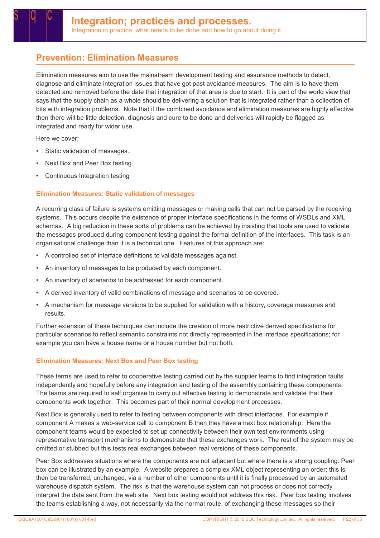### Prevention: Elimination Measures

Elimination measures aim to use the mainstream development testing and assurance methods to detect, diagnose and eliminate integration issues that have got past avoidance measures. The aim is to have them detected and removed before the date that integration of that area is due to start. It is part of the world view that says that the supply chain as a whole should be delivering a solution that is integrated rather than a collection of bits with integration problems. Note that if the combined avoidance and elimination measures are highly effective then there will be little detection, diagnosis and cure to be done and deliveries will rapidly be flagged as integrated and ready for wider use.

Here we cover:

- Static validation of messages..
- Next Box and Peer Box testing.
- Continuous Integration testing

#### Elimination Measures: Static validation of messages

A recurring class of failure is systems emitting messages or making calls that can not be parsed by the receiving systems. This occurs despite the existence of proper interface specifications in the forms of WSDLs and XML schemas. A big reduction in these sorts of problems can be achieved by insisting that tools are used to validate the messages produced during component testing against the formal definition of the interfaces. This task is an organisational challenge than it is a technical one. Features of this approach are:

- A controlled set of interface definitions to validate messages against.
- An inventory of messages to be produced by each component.
- An inventory of scenarios to be addressed for each component.
- A derived inventory of valid combinations of message and scenarios to be covered.
- A mechanism for message versions to be supplied for validation with a history, coverage measures and results.

Further extension of these techniques can include the creation of more restrictive derived specifications for particular scenarios to reflect semantic constraints not directly represented in the interface specifications; for example you can have a house name or a house number but not both.

#### Elimination Measures: Next Box and Peer Box testing

These terms are used to refer to cooperative testing carried out by the supplier teams to find integration faults independently and hopefully before any integration and testing of the assembly containing these components. The teams are required to self organise to carry out effective testing to demonstrate and validate that their components work together. This becomes part of their normal development processes.

Next Box is generally used to refer to testing between components with direct interfaces. For example if component A makes a web-service call to component B then they have a next box relationship. Here the component teams would be expected to set up connectivity between their own test environments using representative transport mechanisms to demonstrate that these exchanges work. The rest of the system may be omitted or stubbed but this tests real exchanges between real versions of these components.

Peer Box addresses situations where the components are not adjacent but where there is a strong coupling. Peer box can be illustrated by an example. A website prepares a complex XML object representing an order; this is then be transferred, unchanged, via a number of other components until it is finally processed by an automated warehouse dispatch system. The risk is that the warehouse system can not process or does not correctly interpret the data sent from the web site. Next box testing would not address this risk. Peer box testing involves the teams establishing a way, not necessarily via the normal route, of exchanging these messages so their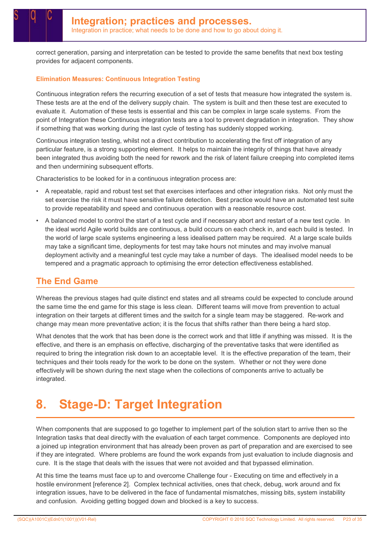correct generation, parsing and interpretation can be tested to provide the same benefits that next box testing provides for adjacent components.

#### Elimination Measures: Continuous Integration Testing

Continuous integration refers the recurring execution of a set of tests that measure how integrated the system is. These tests are at the end of the delivery supply chain. The system is built and then these test are executed to evaluate it. Automation of these tests is essential and this can be complex in large scale systems. From the point of Integration these Continuous integration tests are a tool to prevent degradation in integration. They show if something that was working during the last cycle of testing has suddenly stopped working.

Continuous integration testing, whilst not a direct contribution to accelerating the first off integration of any particular feature, is a strong supporting element. It helps to maintain the integrity of things that have already been integrated thus avoiding both the need for rework and the risk of latent failure creeping into completed items and then undermining subsequent efforts.

Characteristics to be looked for in a continuous integration process are:

- A repeatable, rapid and robust test set that exercises interfaces and other integration risks. Not only must the set exercise the risk it must have sensitive failure detection. Best practice would have an automated test suite to provide repeatability and speed and continuous operation with a reasonable resource cost.
- A balanced model to control the start of a test cycle and if necessary abort and restart of a new test cycle. In the ideal world Agile world builds are continuous, a build occurs on each check in, and each build is tested. In the world of large scale systems engineering a less idealised pattern may be required. At a large scale builds may take a significant time, deployments for test may take hours not minutes and may involve manual deployment activity and a meaningful test cycle may take a number of days. The idealised model needs to be tempered and a pragmatic approach to optimising the error detection effectiveness established.

### The End Game

Whereas the previous stages had quite distinct end states and all streams could be expected to conclude around the same time the end game for this stage is less clean. Different teams will move from prevention to actual integration on their targets at different times and the switch for a single team may be staggered. Re-work and change may mean more preventative action; it is the focus that shifts rather than there being a hard stop.

What denotes that the work that has been done is the correct work and that little if anything was missed. It is the effective, and there is an emphasis on effective, discharging of the preventative tasks that were identified as required to bring the integration risk down to an acceptable level. It is the effective preparation of the team, their techniques and their tools ready for the work to be done on the system. Whether or not they were done effectively will be shown during the next stage when the collections of components arrive to actually be integrated.

## 8. Stage-D: Target Integration

When components that are supposed to go together to implement part of the solution start to arrive then so the Integration tasks that deal directly with the evaluation of each target commence. Components are deployed into a joined up integration environment that has already been proven as part of preparation and are exercised to see if they are integrated. Where problems are found the work expands from just evaluation to include diagnosis and cure. It is the stage that deals with the issues that were not avoided and that bypassed elimination.

At this time the teams must face up to and overcome Challenge four - Executing on time and effectively in a hostile environment [reference 2]. Complex technical activities, ones that check, debug, work around and fix integration issues, have to be delivered in the face of fundamental mismatches, missing bits, system instability and confusion. Avoiding getting bogged down and blocked is a key to success.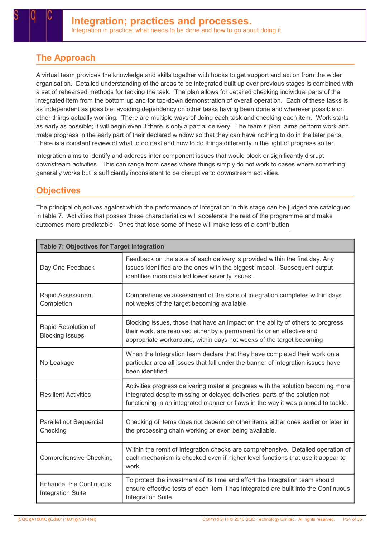### The Approach

A virtual team provides the knowledge and skills together with hooks to get support and action from the wider organisation. Detailed understanding of the areas to be integrated built up over previous stages is combined with a set of rehearsed methods for tacking the task. The plan allows for detailed checking individual parts of the integrated item from the bottom up and for top-down demonstration of overall operation. Each of these tasks is as independent as possible; avoiding dependency on other tasks having been done and wherever possible on other things actually working. There are multiple ways of doing each task and checking each item. Work starts as early as possible; it will begin even if there is only a partial delivery. The team's plan aims perform work and make progress in the early part of their declared window so that they can have nothing to do in the later parts. There is a constant review of what to do next and how to do things differently in the light of progress so far.

Integration aims to identify and address inter component issues that would block or significantly disrupt downstream activities. This can range from cases where things simply do not work to cases where something generally works but is sufficiently inconsistent to be disruptive to downstream activities.

### **Objectives**

The principal objectives against which the performance of Integration in this stage can be judged are catalogued in table 7. Activities that posses these characteristics will accelerate the rest of the programme and make outcomes more predictable. Ones that lose some of these will make less of a contribution .

| <b>Table 7: Objectives for Target Integration</b>  |                                                                                                                                                                                                                                                      |  |  |
|----------------------------------------------------|------------------------------------------------------------------------------------------------------------------------------------------------------------------------------------------------------------------------------------------------------|--|--|
| Day One Feedback                                   | Feedback on the state of each delivery is provided within the first day. Any<br>issues identified are the ones with the biggest impact. Subsequent output<br>identifies more detailed lower severity issues.                                         |  |  |
| Rapid Assessment<br>Completion                     | Comprehensive assessment of the state of integration completes within days<br>not weeks of the target becoming available.                                                                                                                            |  |  |
| Rapid Resolution of<br><b>Blocking Issues</b>      | Blocking issues, those that have an impact on the ability of others to progress<br>their work, are resolved either by a permanent fix or an effective and<br>appropriate workaround, within days not weeks of the target becoming                    |  |  |
| No Leakage                                         | When the Integration team declare that they have completed their work on a<br>particular area all issues that fall under the banner of integration issues have<br>been identified.                                                                   |  |  |
| <b>Resilient Activities</b>                        | Activities progress delivering material progress with the solution becoming more<br>integrated despite missing or delayed deliveries, parts of the solution not<br>functioning in an integrated manner or flaws in the way it was planned to tackle. |  |  |
| Parallel not Sequential<br>Checking                | Checking of items does not depend on other items either ones earlier or later in<br>the processing chain working or even being available.                                                                                                            |  |  |
| <b>Comprehensive Checking</b>                      | Within the remit of Integration checks are comprehensive. Detailed operation of<br>each mechanism is checked even if higher level functions that use it appear to<br>work.                                                                           |  |  |
| Enhance the Continuous<br><b>Integration Suite</b> | To protect the investment of its time and effort the Integration team should<br>ensure effective tests of each item it has integrated are built into the Continuous<br>Integration Suite.                                                            |  |  |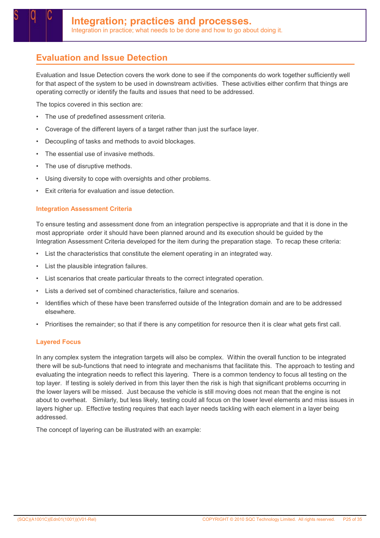### Evaluation and Issue Detection

Evaluation and Issue Detection covers the work done to see if the components do work together sufficiently well for that aspect of the system to be used in downstream activities. These activities either confirm that things are operating correctly or identify the faults and issues that need to be addressed.

The topics covered in this section are:

- The use of predefined assessment criteria.
- Coverage of the different layers of a target rather than just the surface layer.
- Decoupling of tasks and methods to avoid blockages.
- The essential use of invasive methods.
- The use of disruptive methods.
- Using diversity to cope with oversights and other problems.
- Exit criteria for evaluation and issue detection.

#### Integration Assessment Criteria

To ensure testing and assessment done from an integration perspective is appropriate and that it is done in the most appropriate order it should have been planned around and its execution should be guided by the Integration Assessment Criteria developed for the item during the preparation stage. To recap these criteria:

- List the characteristics that constitute the element operating in an integrated way.
- List the plausible integration failures.
- List scenarios that create particular threats to the correct integrated operation.
- Lists a derived set of combined characteristics, failure and scenarios.
- Identifies which of these have been transferred outside of the Integration domain and are to be addressed elsewhere.
- Prioritises the remainder; so that if there is any competition for resource then it is clear what gets first call.

#### Layered Focus

In any complex system the integration targets will also be complex. Within the overall function to be integrated there will be sub-functions that need to integrate and mechanisms that facilitate this. The approach to testing and evaluating the integration needs to reflect this layering. There is a common tendency to focus all testing on the top layer. If testing is solely derived in from this layer then the risk is high that significant problems occurring in the lower layers will be missed. Just because the vehicle is still moving does not mean that the engine is not about to overheat. Similarly, but less likely, testing could all focus on the lower level elements and miss issues in layers higher up. Effective testing requires that each layer needs tackling with each element in a layer being addressed.

The concept of layering can be illustrated with an example: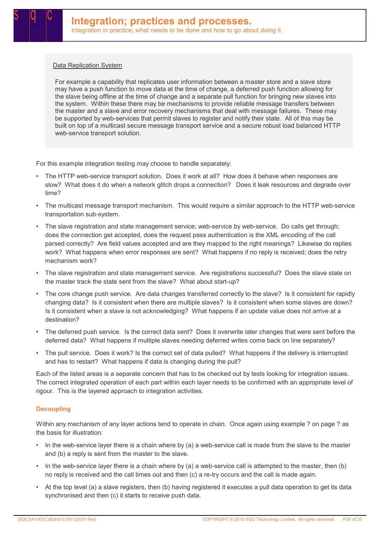#### Data Replication System

For example a capability that replicates user information between a master store and a slave store may have a push function to move data at the time of change, a deferred push function allowing for the slave being offline at the time of change and a separate pull function for bringing new slaves into the system. Within these there may be mechanisms to provide reliable message transfers between the master and a slave and error recovery mechanisms that deal with message failures. These may be supported by web-services that permit slaves to register and notify their state. All of this may be built on top of a multicast secure message transport service and a secure robust load balanced HTTP web-service transport solution.

For this example integration testing may choose to handle separately:

- The HTTP web-service transport solution. Does it work at all? How does it behave when responses are slow? What does it do when a network glitch drops a connection? Does it leak resources and degrade over time?
- The multicast message transport mechanism. This would require a similar approach to the HTTP web-service transportation sub-system.
- The slave registration and state management service; web-service by web-service. Do calls get through; does the connection get accepted, does the request pass authentication is the XML encoding of the call parsed correctly? Are field values accepted and are they mapped to the right meanings? Likewise do replies work? What happens when error responses are sent? What happens if no reply is received; does the retry mechanism work?
- The slave registration and state management service. Are registrations successful? Does the slave state on the master track the state sent from the slave? What about start-up?
- The core change push service. Are data changes transferred correctly to the slave? Is it consistent for rapidly changing data? Is it consistent when there are multiple slaves? Is it consistent when some slaves are down? Is it consistent when a slave is not acknowledging? What happens if an update value does not arrive at a destination?
- The deferred push service. Is the correct data sent? Does it overwrite later changes that were sent before the deferred data? What happens if multiple slaves needing deferred writes come back on line separately?
- The pull service. Does it work? Is the correct set of data pulled? What happens if the delivery is interrupted and has to restart? What happens if data is changing during the pull?

Each of the listed areas is a separate concern that has to be checked out by tests looking for integration issues. The correct integrated operation of each part within each layer needs to be confirmed with an appropriate level of rigour. This is the layered approach to integration activities.

#### **Decoupling**

Within any mechanism of any layer actions tend to operate in chain. Once again using example ? on page ? as the basis for illustration:

- In the web-service layer there is a chain where by (a) a web-service call is made from the slave to the master and (b) a reply is sent from the master to the slave.
- In the web-service layer there is a chain where by (a) a web-service call is attempted to the master, then (b) no reply is received and the call times out and then (c) a re-try occurs and the call is made again.
- At the top level (a) a slave registers, then (b) having registered it executes a pull data operation to get its data synchronised and then (c) it starts to receive push data.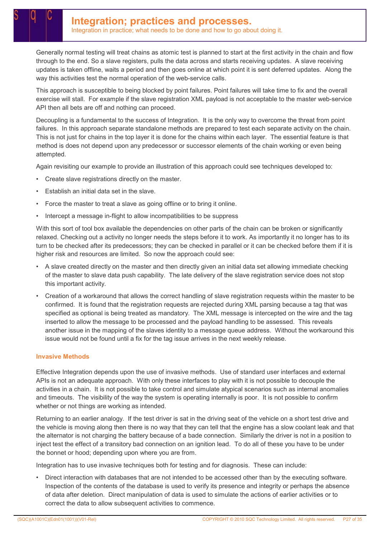Generally normal testing will treat chains as atomic test is planned to start at the first activity in the chain and flow through to the end. So a slave registers, pulls the data across and starts receiving updates. A slave receiving updates is taken offline, waits a period and then goes online at which point it is sent deferred updates. Along the way this activities test the normal operation of the web-service calls.

This approach is susceptible to being blocked by point failures. Point failures will take time to fix and the overall exercise will stall. For example if the slave registration XML payload is not acceptable to the master web-service API then all bets are off and nothing can proceed.

Decoupling is a fundamental to the success of Integration. It is the only way to overcome the threat from point failures. In this approach separate standalone methods are prepared to test each separate activity on the chain. This is not just for chains in the top layer it is done for the chains within each layer. The essential feature is that method is does not depend upon any predecessor or successor elements of the chain working or even being attempted.

Again revisiting our example to provide an illustration of this approach could see techniques developed to:

- Create slave registrations directly on the master.
- Establish an initial data set in the slave.
- Force the master to treat a slave as going offline or to bring it online.
- Intercept a message in-flight to allow incompatibilities to be suppress

With this sort of tool box available the dependencies on other parts of the chain can be broken or significantly relaxed. Checking out a activity no longer needs the steps before it to work. As importantly it no longer has to its turn to be checked after its predecessors; they can be checked in parallel or it can be checked before them if it is higher risk and resources are limited. So now the approach could see:

- A slave created directly on the master and then directly given an initial data set allowing immediate checking of the master to slave data push capability. The late delivery of the slave registration service does not stop this important activity.
- Creation of a workaround that allows the correct handling of slave registration requests within the master to be confirmed. It is found that the registration requests are rejected during XML parsing because a tag that was specified as optional is being treated as mandatory. The XML message is intercepted on the wire and the tag inserted to allow the message to be processed and the payload handling to be assessed. This reveals another issue in the mapping of the slaves identity to a message queue address. Without the workaround this issue would not be found until a fix for the tag issue arrives in the next weekly release.

#### Invasive Methods

Effective Integration depends upon the use of invasive methods. Use of standard user interfaces and external APIs is not an adequate approach. With only these interfaces to play with it is not possible to decouple the activities in a chain. It is not possible to take control and simulate atypical scenarios such as internal anomalies and timeouts. The visibility of the way the system is operating internally is poor. It is not possible to confirm whether or not things are working as intended.

Returning to an earlier analogy. If the test driver is sat in the driving seat of the vehicle on a short test drive and the vehicle is moving along then there is no way that they can tell that the engine has a slow coolant leak and that the alternator is not charging the battery because of a bade connection. Similarly the driver is not in a position to inject test the effect of a transitory bad connection on an ignition lead. To do all of these you have to be under the bonnet or hood; depending upon where you are from.

Integration has to use invasive techniques both for testing and for diagnosis. These can include:

• Direct interaction with databases that are not intended to be accessed other than by the executing software. Inspection of the contents of the database is used to verify its presence and integrity or perhaps the absence of data after deletion. Direct manipulation of data is used to simulate the actions of earlier activities or to correct the data to allow subsequent activities to commence.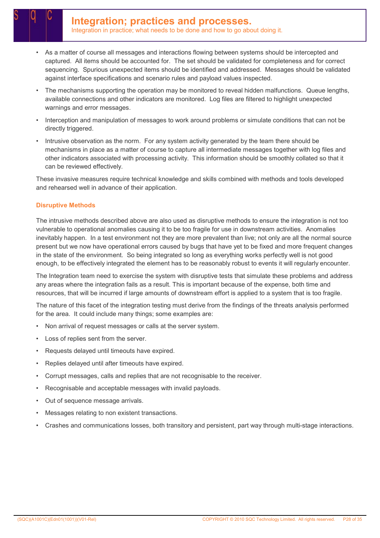- As a matter of course all messages and interactions flowing between systems should be intercepted and captured. All items should be accounted for. The set should be validated for completeness and for correct sequencing. Spurious unexpected items should be identified and addressed. Messages should be validated against interface specifications and scenario rules and payload values inspected.
- The mechanisms supporting the operation may be monitored to reveal hidden malfunctions. Queue lengths, available connections and other indicators are monitored. Log files are filtered to highlight unexpected warnings and error messages.
- Interception and manipulation of messages to work around problems or simulate conditions that can not be directly triggered.
- Intrusive observation as the norm. For any system activity generated by the team there should be mechanisms in place as a matter of course to capture all intermediate messages together with log files and other indicators associated with processing activity. This information should be smoothly collated so that it can be reviewed effectively.

These invasive measures require technical knowledge and skills combined with methods and tools developed and rehearsed well in advance of their application.

#### Disruptive Methods

The intrusive methods described above are also used as disruptive methods to ensure the integration is not too vulnerable to operational anomalies causing it to be too fragile for use in downstream activities. Anomalies inevitably happen. In a test environment not they are more prevalent than live; not only are all the normal source present but we now have operational errors caused by bugs that have yet to be fixed and more frequent changes in the state of the environment. So being integrated so long as everything works perfectly well is not good enough, to be effectively integrated the element has to be reasonably robust to events it will regularly encounter.

The Integration team need to exercise the system with disruptive tests that simulate these problems and address any areas where the integration fails as a result. This is important because of the expense, both time and resources, that will be incurred if large amounts of downstream effort is applied to a system that is too fragile.

The nature of this facet of the integration testing must derive from the findings of the threats analysis performed for the area. It could include many things; some examples are:

- Non arrival of request messages or calls at the server system.
- Loss of replies sent from the server.
- Requests delayed until timeouts have expired.
- Replies delayed until after timeouts have expired.
- Corrupt messages, calls and replies that are not recognisable to the receiver.
- Recognisable and acceptable messages with invalid payloads.
- Out of sequence message arrivals.
- Messages relating to non existent transactions.
- Crashes and communications losses, both transitory and persistent, part way through multi-stage interactions.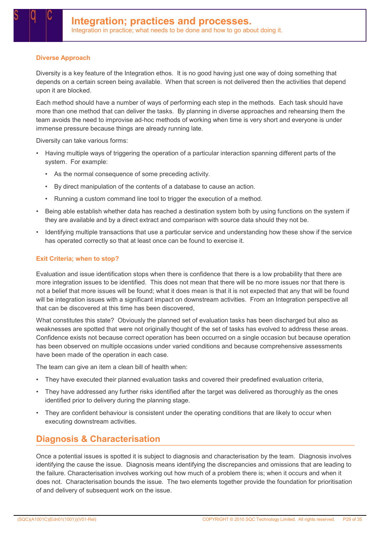#### Diverse Approach

Diversity is a key feature of the Integration ethos. It is no good having just one way of doing something that depends on a certain screen being available. When that screen is not delivered then the activities that depend upon it are blocked.

Each method should have a number of ways of performing each step in the methods. Each task should have more than one method that can deliver the tasks. By planning in diverse approaches and rehearsing them the team avoids the need to improvise ad-hoc methods of working when time is very short and everyone is under immense pressure because things are already running late.

Diversity can take various forms:

- Having multiple ways of triggering the operation of a particular interaction spanning different parts of the system. For example:
	- As the normal consequence of some preceding activity.
	- By direct manipulation of the contents of a database to cause an action.
	- Running a custom command line tool to trigger the execution of a method.
- Being able establish whether data has reached a destination system both by using functions on the system if they are available and by a direct extract and comparison with source data should they not be.
- Identifying multiple transactions that use a particular service and understanding how these show if the service has operated correctly so that at least once can be found to exercise it.

#### Exit Criteria; when to stop?

Evaluation and issue identification stops when there is confidence that there is a low probability that there are more integration issues to be identified. This does not mean that there will be no more issues nor that there is not a belief that more issues will be found; what it does mean is that it is not expected that any that will be found will be integration issues with a significant impact on downstream activities. From an Integration perspective all that can be discovered at this time has been discovered,

What constitutes this state? Obviously the planned set of evaluation tasks has been discharged but also as weaknesses are spotted that were not originally thought of the set of tasks has evolved to address these areas. Confidence exists not because correct operation has been occurred on a single occasion but because operation has been observed on multiple occasions under varied conditions and because comprehensive assessments have been made of the operation in each case.

The team can give an item a clean bill of health when:

- They have executed their planned evaluation tasks and covered their predefined evaluation criteria,
- They have addressed any further risks identified after the target was delivered as thoroughly as the ones identified prior to delivery during the planning stage.
- They are confident behaviour is consistent under the operating conditions that are likely to occur when executing downstream activities.

### Diagnosis & Characterisation

Once a potential issues is spotted it is subject to diagnosis and characterisation by the team. Diagnosis involves identifying the cause the issue. Diagnosis means identifying the discrepancies and omissions that are leading to the failure. Characterisation involves working out how much of a problem there is; when it occurs and when it does not. Characterisation bounds the issue. The two elements together provide the foundation for prioritisation of and delivery of subsequent work on the issue.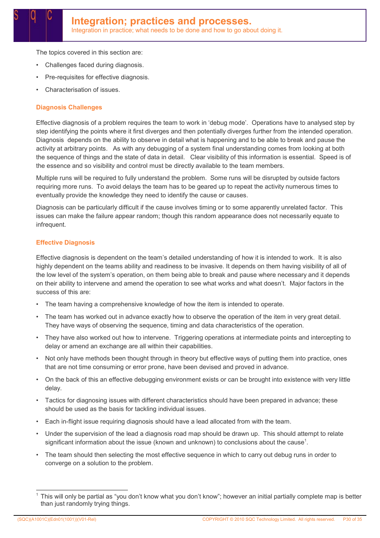The topics covered in this section are:

- Challenges faced during diagnosis.
- Pre-requisites for effective diagnosis.
- Characterisation of issues.

#### Diagnosis Challenges

Effective diagnosis of a problem requires the team to work in 'debug mode'. Operations have to analysed step by step identifying the points where it first diverges and then potentially diverges further from the intended operation. Diagnosis depends on the ability to observe in detail what is happening and to be able to break and pause the activity at arbitrary points. As with any debugging of a system final understanding comes from looking at both the sequence of things and the state of data in detail. Clear visibility of this information is essential. Speed is of the essence and so visibility and control must be directly available to the team members.

Multiple runs will be required to fully understand the problem. Some runs will be disrupted by outside factors requiring more runs. To avoid delays the team has to be geared up to repeat the activity numerous times to eventually provide the knowledge they need to identify the cause or causes.

Diagnosis can be particularly difficult if the cause involves timing or to some apparently unrelated factor. This issues can make the failure appear random; though this random appearance does not necessarily equate to infrequent.

#### Effective Diagnosis

Effective diagnosis is dependent on the team's detailed understanding of how it is intended to work. It is also highly dependent on the teams ability and readiness to be invasive. It depends on them having visibility of all of the low level of the system's operation, on them being able to break and pause where necessary and it depends on their ability to intervene and amend the operation to see what works and what doesn't. Major factors in the success of this are:

- The team having a comprehensive knowledge of how the item is intended to operate.
- The team has worked out in advance exactly how to observe the operation of the item in very great detail. They have ways of observing the sequence, timing and data characteristics of the operation.
- They have also worked out how to intervene. Triggering operations at intermediate points and intercepting to delay or amend an exchange are all within their capabilities.
- Not only have methods been thought through in theory but effective ways of putting them into practice, ones that are not time consuming or error prone, have been devised and proved in advance.
- On the back of this an effective debugging environment exists or can be brought into existence with very little delay.
- Tactics for diagnosing issues with different characteristics should have been prepared in advance; these should be used as the basis for tackling individual issues.
- Each in-flight issue requiring diagnosis should have a lead allocated from with the team.
- Under the supervision of the lead a diagnosis road map should be drawn up. This should attempt to relate significant information about the issue (known and unknown) to conclusions about the cause<sup>1</sup>.
- The team should then selecting the most effective sequence in which to carry out debug runs in order to converge on a solution to the problem.

<sup>1</sup> This will only be partial as "you don't know what you don't know"; however an initial partially complete map is better than just randomly trying things.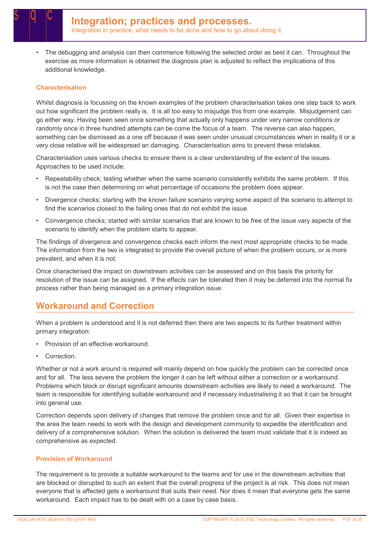• The debugging and analysis can then commence following the selected order as best it can. Throughout the exercise as more information is obtained the diagnosis plan is adjusted to reflect the implications of this additional knowledge.

#### Characterisation

Whilst diagnosis is focussing on the known examples of the problem characterisation takes one step back to work out how significant the problem really is. It is all too easy to misjudge this from one example. Misjudgement can go either way. Having been seen once something that actually only happens under very narrow conditions or randomly once in three hundred attempts can be come the focus of a team. The reverse can also happen, something can be dismissed as a one off because it was seen under unusual circumstances when in reality it or a very close relative will be widespread an damaging. Characterisation aims to prevent these mistakes.

Characterisation uses various checks to ensure there is a clear understanding of the extent of the issues. Approaches to be used include:

- Repeatability check; testing whether when the same scenario consistently exhibits the same problem. If this is not the case then determining on what percentage of occasions the problem does appear.
- Divergence checks; starting with the known failure scenario varying some aspect of the scenario to attempt to find the scenarios closest to the failing ones that do not exhibit the issue.
- Convergence checks; started with similar scenarios that are known to be free of the issue vary aspects of the scenario to identify when the problem starts to appear.

The findings of divergence and convergence checks each inform the next most appropriate checks to be made. The information from the two is integrated to provide the overall picture of when the problem occurs, or is more prevalent, and when it is not.

Once characterised the impact on downstream activities can be assessed and on this basis the priority for resolution of the issue can be assigned. If the effects can be tolerated then it may be deferred into the normal fix process rather than being managed as a primary integration issue.

### Workaround and Correction

When a problem is understood and it is not deferred then there are two aspects to its further treatment within primary integration:

- Provision of an effective workaround.
- Correction.

Whether or not a work around is required will mainly depend on how quickly the problem can be corrected once and for all. The less severe the problem the longer it can be left without either a correction or a workaround. Problems which block or disrupt significant amounts downstream activities are likely to need a workaround. The team is responsible for identifying suitable workaround and if necessary industrialising it so that it can be brought into general use.

Correction depends upon delivery of changes that remove the problem once and for all. Given their expertise in the area the team needs to work with the design and development community to expedite the identification and delivery of a comprehensive solution. When the solution is delivered the team must validate that it is indeed as comprehensive as expected.

#### Provision of Workaround

The requirement is to provide a suitable workaround to the teams and for use in the downstream activities that are blocked or disrupted to such an extent that the overall progress of the project is at risk. This does not mean everyone that is affected gets a workaround that suits their need. Nor does it mean that everyone gets the same workaround. Each impact has to be dealt with on a case by case basis.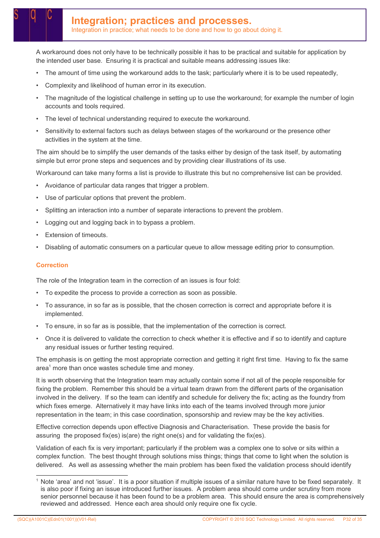A workaround does not only have to be technically possible it has to be practical and suitable for application by the intended user base. Ensuring it is practical and suitable means addressing issues like:

- The amount of time using the workaround adds to the task; particularly where it is to be used repeatedly,
- Complexity and likelihood of human error in its execution.
- The magnitude of the logistical challenge in setting up to use the workaround; for example the number of login accounts and tools required.
- The level of technical understanding required to execute the workaround.
- Sensitivity to external factors such as delays between stages of the workaround or the presence other activities in the system at the time.

The aim should be to simplify the user demands of the tasks either by design of the task itself, by automating simple but error prone steps and sequences and by providing clear illustrations of its use.

Workaround can take many forms a list is provide to illustrate this but no comprehensive list can be provided.

- Avoidance of particular data ranges that trigger a problem.
- Use of particular options that prevent the problem.
- Splitting an interaction into a number of separate interactions to prevent the problem.
- Logging out and logging back in to bypass a problem.
- Extension of timeouts.
- Disabling of automatic consumers on a particular queue to allow message editing prior to consumption.

#### **Correction**

The role of the Integration team in the correction of an issues is four fold:

- To expedite the process to provide a correction as soon as possible.
- To assurance, in so far as is possible, that the chosen correction is correct and appropriate before it is implemented.
- To ensure, in so far as is possible, that the implementation of the correction is correct.
- Once it is delivered to validate the correction to check whether it is effective and if so to identify and capture any residual issues or further testing required.

The emphasis is on getting the most appropriate correction and getting it right first time. Having to fix the same area<sup>1</sup> more than once wastes schedule time and money.

It is worth observing that the Integration team may actually contain some if not all of the people responsible for fixing the problem. Remember this should be a virtual team drawn from the different parts of the organisation involved in the delivery. If so the team can identify and schedule for delivery the fix; acting as the foundry from which fixes emerge. Alternatively it may have links into each of the teams involved through more junior representation in the team; in this case coordination, sponsorship and review may be the key activities.

Effective correction depends upon effective Diagnosis and Characterisation. These provide the basis for assuring the proposed fix(es) is(are) the right one(s) and for validating the fix(es).

Validation of each fix is very important; particularly if the problem was a complex one to solve or sits within a complex function. The best thought through solutions miss things; things that come to light when the solution is delivered. As well as assessing whether the main problem has been fixed the validation process should identify

Note 'area' and not 'issue'. It is a poor situation if multiple issues of a similar nature have to be fixed separately. It is also poor if fixing an issue introduced further issues. A problem area should come under scrutiny from more senior personnel because it has been found to be a problem area. This should ensure the area is comprehensively reviewed and addressed. Hence each area should only require one fix cycle.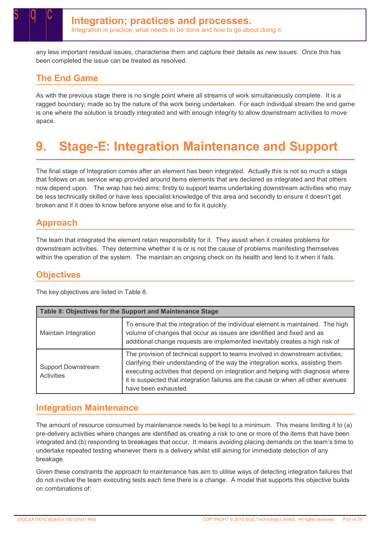any less important residual issues, characterise them and capture their details as new issues. Once this has been completed the issue can be treated as resolved.

### The End Game

As with the previous stage there is no single point where all streams of work simultaneously complete. It is a ragged boundary; made so by the nature of the work being undertaken. For each individual stream the end game is one where the solution is broadly integrated and with enough integrity to allow downstream activities to move apace.

## 9. Stage-E: Integration Maintenance and Support

The final stage of Integration comes after an element has been integrated. Actually this is not so much a stage that follows on as service wrap provided around items elements that are declared as integrated and that others now depend upon. The wrap has two aims; firstly to support teams undertaking downstream activities who may be less technically skilled or have less specialist knowledge of this area and secondly to ensure it doesn't get broken and if it does to know before anyone else and to fix it quickly.

### Approach

The team that integrated the element retain responsibility for it. They assist when it creates problems for downstream activities. They determine whether it is or is not the cause of problems manifesting themselves within the operation of the system. The maintain an ongoing check on its health and tend to it when it fails.

### **Objectives**

The key objectives are listed in Table 8.

| Table 8: Objectives for the Support and Maintenance Stage |                                                                                                                                                                                                                                                                                                                                                                    |  |  |
|-----------------------------------------------------------|--------------------------------------------------------------------------------------------------------------------------------------------------------------------------------------------------------------------------------------------------------------------------------------------------------------------------------------------------------------------|--|--|
| Maintain Integration                                      | To ensure that the integration of the individual element is maintained. The high<br>volume of changes that occur as issues are identified and fixed and as<br>additional change requests are implemented inevitably creates a high risk of                                                                                                                         |  |  |
| <b>Support Downstream</b><br>Activities                   | The provision of technical support to teams involved in downstream activities;<br>clarifying their understanding of the way the integration works, assisting them<br>executing activities that depend on integration and helping with diagnosis where<br>it is suspected that integration failures are the cause or when all other avenues<br>have been exhausted. |  |  |

### Integration Maintenance

The amount of resource consumed by maintenance needs to be kept to a minimum. This means limiting it to (a) pre-delivery activities where changes are identified as creating a risk to one or more of the items that have been integrated and (b) responding to breakages that occur. It means avoiding placing demands on the team's time to undertake repeated testing whenever there is a delivery whilst still aiming for immediate detection of any breakage.

Given these constraints the approach to maintenance has aim to utilise ways of detecting integration failures that do not involve the team executing tests each time there is a change. A model that supports this objective builds on combinations of: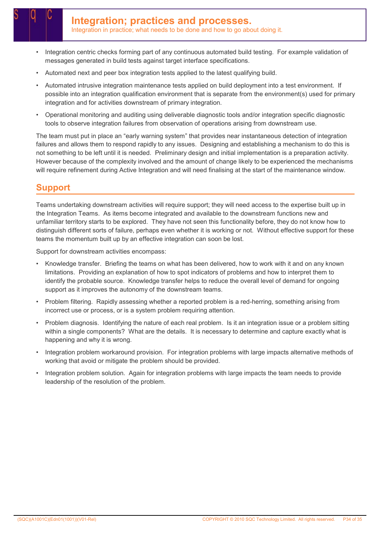- Integration centric checks forming part of any continuous automated build testing. For example validation of messages generated in build tests against target interface specifications.
- Automated next and peer box integration tests applied to the latest qualifying build.
- Automated intrusive integration maintenance tests applied on build deployment into a test environment. If possible into an integration qualification environment that is separate from the environment(s) used for primary integration and for activities downstream of primary integration.
- Operational monitoring and auditing using deliverable diagnostic tools and/or integration specific diagnostic tools to observe integration failures from observation of operations arising from downstream use.

The team must put in place an "early warning system" that provides near instantaneous detection of integration failures and allows them to respond rapidly to any issues. Designing and establishing a mechanism to do this is not something to be left until it is needed. Preliminary design and initial implementation is a preparation activity. However because of the complexity involved and the amount of change likely to be experienced the mechanisms will require refinement during Active Integration and will need finalising at the start of the maintenance window.

### Support

Teams undertaking downstream activities will require support; they will need access to the expertise built up in the Integration Teams. As items become integrated and available to the downstream functions new and unfamiliar territory starts to be explored. They have not seen this functionality before, they do not know how to distinguish different sorts of failure, perhaps even whether it is working or not. Without effective support for these teams the momentum built up by an effective integration can soon be lost.

Support for downstream activities encompass:

- Knowledge transfer. Briefing the teams on what has been delivered, how to work with it and on any known limitations. Providing an explanation of how to spot indicators of problems and how to interpret them to identify the probable source. Knowledge transfer helps to reduce the overall level of demand for ongoing support as it improves the autonomy of the downstream teams.
- Problem filtering. Rapidly assessing whether a reported problem is a red-herring, something arising from incorrect use or process, or is a system problem requiring attention.
- Problem diagnosis. Identifying the nature of each real problem. Is it an integration issue or a problem sitting within a single components? What are the details. It is necessary to determine and capture exactly what is happening and why it is wrong.
- Integration problem workaround provision. For integration problems with large impacts alternative methods of working that avoid or mitigate the problem should be provided.
- Integration problem solution. Again for integration problems with large impacts the team needs to provide leadership of the resolution of the problem.